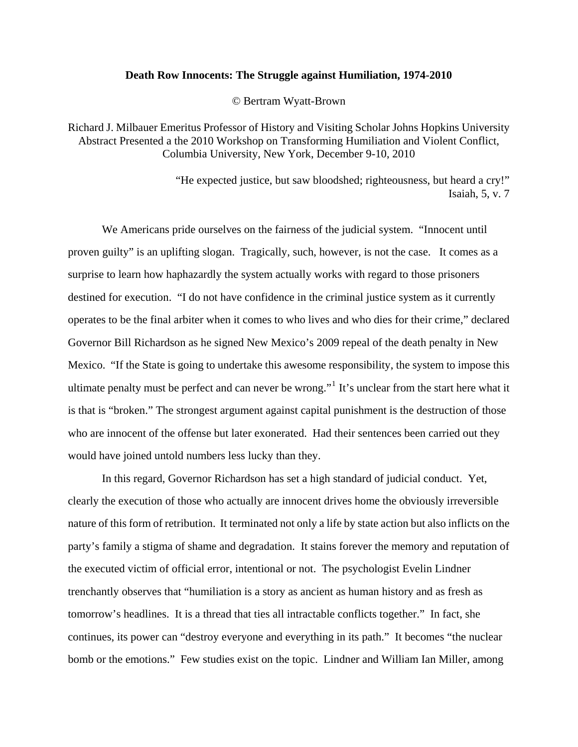## **Death Row Innocents: The Struggle against Humiliation, 1974-2010**

© Bertram Wyatt-Brown

Richard J. Milbauer Emeritus Professor of History and Visiting Scholar Johns Hopkins University Abstract Presented a the 2010 Workshop on Transforming Humiliation and Violent Conflict, Columbia University, New York, December 9-10, 2010

> "He expected justice, but saw bloodshed; righteousness, but heard a cry!" Isaiah, 5, v. 7

 We Americans pride ourselves on the fairness of the judicial system. "Innocent until proven guilty" is an uplifting slogan. Tragically, such, however, is not the case. It comes as a surprise to learn how haphazardly the system actually works with regard to those prisoners destined for execution. "I do not have confidence in the criminal justice system as it currently operates to be the final arbiter when it comes to who lives and who dies for their crime," declared Governor Bill Richardson as he signed New Mexico's 2009 repeal of the death penalty in New Mexico. "If the State is going to undertake this awesome responsibility, the system to impose this ultimate penalty must be perfect and can never be wrong."<sup>[1](#page-29-0)</sup> It's unclear from the start here what it is that is "broken." The strongest argument against capital punishment is the destruction of those who are innocent of the offense but later exonerated. Had their sentences been carried out they would have joined untold numbers less lucky than they.

 In this regard, Governor Richardson has set a high standard of judicial conduct. Yet, clearly the execution of those who actually are innocent drives home the obviously irreversible nature of this form of retribution. It terminated not only a life by state action but also inflicts on the party's family a stigma of shame and degradation. It stains forever the memory and reputation of the executed victim of official error, intentional or not. The psychologist Evelin Lindner trenchantly observes that "humiliation is a story as ancient as human history and as fresh as tomorrow's headlines. It is a thread that ties all intractable conflicts together." In fact, she continues, its power can "destroy everyone and everything in its path." It becomes "the nuclear bomb or the emotions." Few studies exist on the topic. Lindner and William Ian Miller, among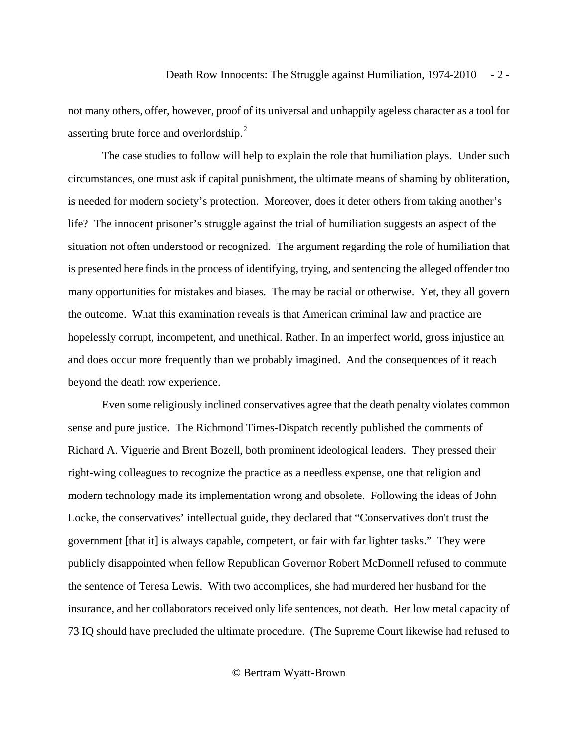not many others, offer, however, proof of its universal and unhappily ageless character as a tool for asserting brute force and overlordship.<sup>[2](#page-29-1)</sup>

 The case studies to follow will help to explain the role that humiliation plays. Under such circumstances, one must ask if capital punishment, the ultimate means of shaming by obliteration, is needed for modern society's protection. Moreover, does it deter others from taking another's life? The innocent prisoner's struggle against the trial of humiliation suggests an aspect of the situation not often understood or recognized. The argument regarding the role of humiliation that is presented here finds in the process of identifying, trying, and sentencing the alleged offender too many opportunities for mistakes and biases. The may be racial or otherwise. Yet, they all govern the outcome. What this examination reveals is that American criminal law and practice are hopelessly corrupt, incompetent, and unethical. Rather. In an imperfect world, gross injustice an and does occur more frequently than we probably imagined. And the consequences of it reach beyond the death row experience.

 Even some religiously inclined conservatives agree that the death penalty violates common sense and pure justice. The Richmond Times-Dispatch recently published the comments of Richard A. Viguerie and Brent Bozell, both prominent ideological leaders. They pressed their right-wing colleagues to recognize the practice as a needless expense, one that religion and modern technology made its implementation wrong and obsolete. Following the ideas of John Locke, the conservatives' intellectual guide, they declared that "Conservatives don't trust the government [that it] is always capable, competent, or fair with far lighter tasks." They were publicly disappointed when fellow Republican Governor Robert McDonnell refused to commute the sentence of Teresa Lewis. With two accomplices, she had murdered her husband for the insurance, and her collaborators received only life sentences, not death. Her low metal capacity of 73 IQ should have precluded the ultimate procedure. (The Supreme Court likewise had refused to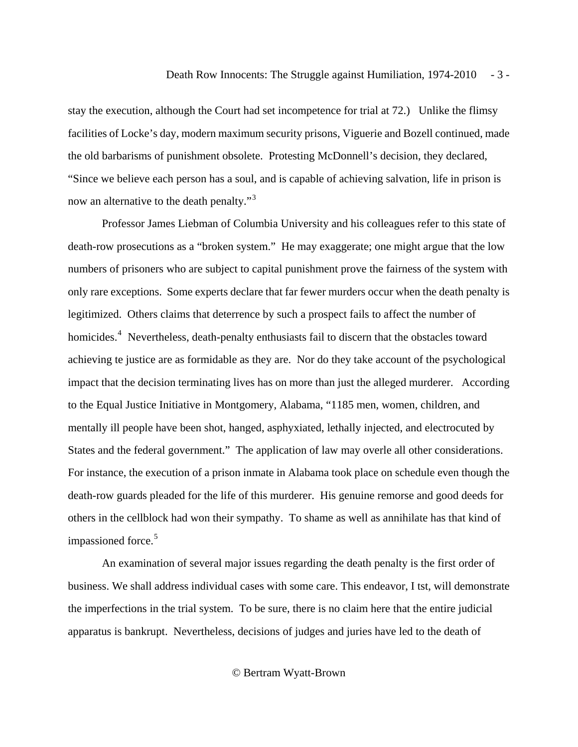stay the execution, although the Court had set incompetence for trial at 72.) Unlike the flimsy facilities of Locke's day, modern maximum security prisons, Viguerie and Bozell continued, made the old barbarisms of punishment obsolete. Protesting McDonnell's decision, they declared, "Since we believe each person has a soul, and is capable of achieving salvation, life in prison is now an alternative to the death penalty."<sup>[3](#page-29-1)</sup>

 Professor James Liebman of Columbia University and his colleagues refer to this state of death-row prosecutions as a "broken system." He may exaggerate; one might argue that the low numbers of prisoners who are subject to capital punishment prove the fairness of the system with only rare exceptions. Some experts declare that far fewer murders occur when the death penalty is legitimized. Others claims that deterrence by such a prospect fails to affect the number of homicides.<sup>[4](#page-29-1)</sup> Nevertheless, death-penalty enthusiasts fail to discern that the obstacles toward achieving te justice are as formidable as they are. Nor do they take account of the psychological impact that the decision terminating lives has on more than just the alleged murderer. According to the Equal Justice Initiative in Montgomery, Alabama, "1185 men, women, children, and mentally ill people have been shot, hanged, asphyxiated, lethally injected, and electrocuted by States and the federal government." The application of law may overle all other considerations. For instance, the execution of a prison inmate in Alabama took place on schedule even though the death-row guards pleaded for the life of this murderer. His genuine remorse and good deeds for others in the cellblock had won their sympathy. To shame as well as annihilate has that kind of impassioned force.<sup>[5](#page-29-1)</sup>

 An examination of several major issues regarding the death penalty is the first order of business. We shall address individual cases with some care. This endeavor, I tst, will demonstrate the imperfections in the trial system. To be sure, there is no claim here that the entire judicial apparatus is bankrupt. Nevertheless, decisions of judges and juries have led to the death of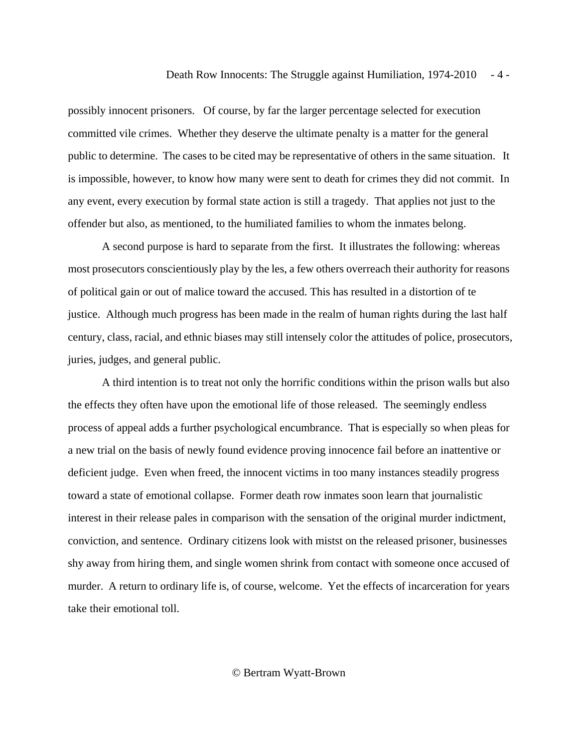possibly innocent prisoners. Of course, by far the larger percentage selected for execution committed vile crimes. Whether they deserve the ultimate penalty is a matter for the general public to determine. The cases to be cited may be representative of others in the same situation. It is impossible, however, to know how many were sent to death for crimes they did not commit. In any event, every execution by formal state action is still a tragedy. That applies not just to the offender but also, as mentioned, to the humiliated families to whom the inmates belong.

 A second purpose is hard to separate from the first. It illustrates the following: whereas most prosecutors conscientiously play by the les, a few others overreach their authority for reasons of political gain or out of malice toward the accused. This has resulted in a distortion of te justice. Although much progress has been made in the realm of human rights during the last half century, class, racial, and ethnic biases may still intensely color the attitudes of police, prosecutors, juries, judges, and general public.

 A third intention is to treat not only the horrific conditions within the prison walls but also the effects they often have upon the emotional life of those released. The seemingly endless process of appeal adds a further psychological encumbrance. That is especially so when pleas for a new trial on the basis of newly found evidence proving innocence fail before an inattentive or deficient judge. Even when freed, the innocent victims in too many instances steadily progress toward a state of emotional collapse. Former death row inmates soon learn that journalistic interest in their release pales in comparison with the sensation of the original murder indictment, conviction, and sentence. Ordinary citizens look with mistst on the released prisoner, businesses shy away from hiring them, and single women shrink from contact with someone once accused of murder. A return to ordinary life is, of course, welcome. Yet the effects of incarceration for years take their emotional toll.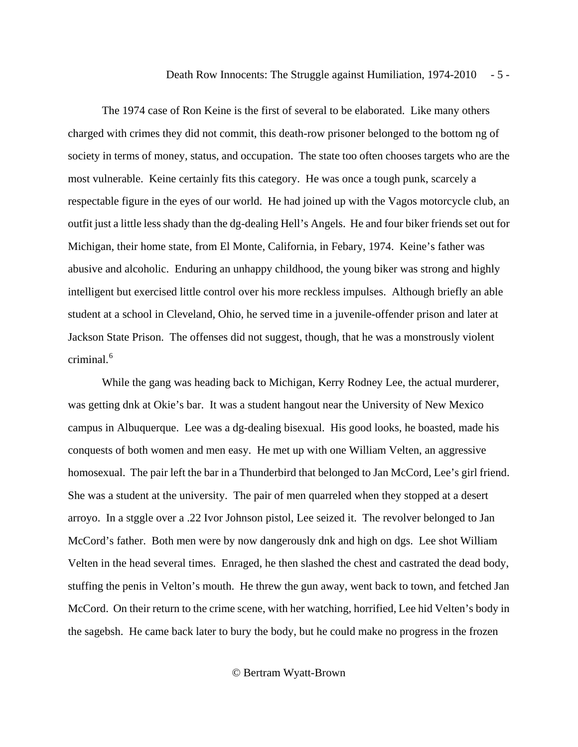The 1974 case of Ron Keine is the first of several to be elaborated. Like many others charged with crimes they did not commit, this death-row prisoner belonged to the bottom ng of society in terms of money, status, and occupation. The state too often chooses targets who are the most vulnerable. Keine certainly fits this category. He was once a tough punk, scarcely a respectable figure in the eyes of our world. He had joined up with the Vagos motorcycle club, an outfit just a little less shady than the dg-dealing Hell's Angels. He and four biker friends set out for Michigan, their home state, from El Monte, California, in Febary, 1974. Keine's father was abusive and alcoholic. Enduring an unhappy childhood, the young biker was strong and highly intelligent but exercised little control over his more reckless impulses. Although briefly an able student at a school in Cleveland, Ohio, he served time in a juvenile-offender prison and later at Jackson State Prison. The offenses did not suggest, though, that he was a monstrously violent criminal. $6$ 

 While the gang was heading back to Michigan, Kerry Rodney Lee, the actual murderer, was getting dnk at Okie's bar. It was a student hangout near the University of New Mexico campus in Albuquerque. Lee was a dg-dealing bisexual. His good looks, he boasted, made his conquests of both women and men easy. He met up with one William Velten, an aggressive homosexual. The pair left the bar in a Thunderbird that belonged to Jan McCord, Lee's girl friend. She was a student at the university. The pair of men quarreled when they stopped at a desert arroyo. In a stggle over a .22 Ivor Johnson pistol, Lee seized it. The revolver belonged to Jan McCord's father. Both men were by now dangerously dnk and high on dgs. Lee shot William Velten in the head several times. Enraged, he then slashed the chest and castrated the dead body, stuffing the penis in Velton's mouth. He threw the gun away, went back to town, and fetched Jan McCord. On their return to the crime scene, with her watching, horrified, Lee hid Velten's body in the sagebsh. He came back later to bury the body, but he could make no progress in the frozen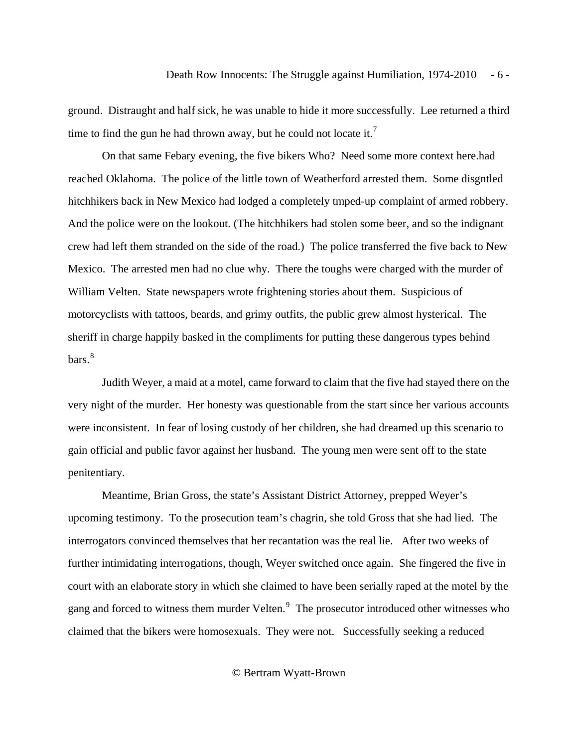ground. Distraught and half sick, he was unable to hide it more successfully. Lee returned a third time to find the gun he had thrown away, but he could not locate it.<sup>[7](#page-30-0)</sup>

 On that same Febary evening, the five bikers Who? Need some more context here.had reached Oklahoma. The police of the little town of Weatherford arrested them. Some disgntled hitchhikers back in New Mexico had lodged a completely tmped-up complaint of armed robbery. And the police were on the lookout. (The hitchhikers had stolen some beer, and so the indignant crew had left them stranded on the side of the road.) The police transferred the five back to New Mexico. The arrested men had no clue why. There the toughs were charged with the murder of William Velten. State newspapers wrote frightening stories about them. Suspicious of motorcyclists with tattoos, beards, and grimy outfits, the public grew almost hysterical. The sheriff in charge happily basked in the compliments for putting these dangerous types behind bars.<sup>[8](#page-30-0)</sup>

 Judith Weyer, a maid at a motel, came forward to claim that the five had stayed there on the very night of the murder. Her honesty was questionable from the start since her various accounts were inconsistent. In fear of losing custody of her children, she had dreamed up this scenario to gain official and public favor against her husband. The young men were sent off to the state penitentiary.

 Meantime, Brian Gross, the state's Assistant District Attorney, prepped Weyer's upcoming testimony. To the prosecution team's chagrin, she told Gross that she had lied. The interrogators convinced themselves that her recantation was the real lie. After two weeks of further intimidating interrogations, though, Weyer switched once again. She fingered the five in court with an elaborate story in which she claimed to have been serially raped at the motel by the gang and forced to witness them murder Velten.<sup>[9](#page-30-0)</sup> The prosecutor introduced other witnesses who claimed that the bikers were homosexuals. They were not. Successfully seeking a reduced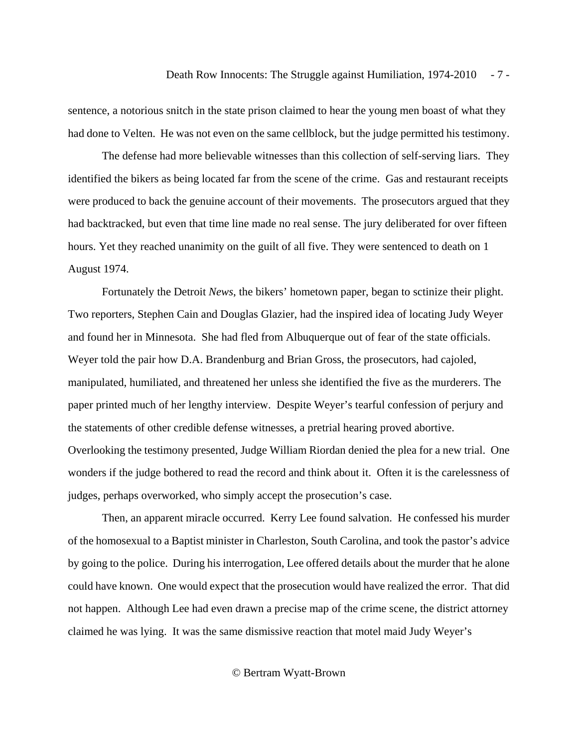sentence, a notorious snitch in the state prison claimed to hear the young men boast of what they had done to Velten. He was not even on the same cellblock, but the judge permitted his testimony.

 The defense had more believable witnesses than this collection of self-serving liars. They identified the bikers as being located far from the scene of the crime. Gas and restaurant receipts were produced to back the genuine account of their movements. The prosecutors argued that they had backtracked, but even that time line made no real sense. The jury deliberated for over fifteen hours. Yet they reached unanimity on the guilt of all five. They were sentenced to death on 1 August 1974.

 Fortunately the Detroit *News*, the bikers' hometown paper, began to sctinize their plight. Two reporters, Stephen Cain and Douglas Glazier, had the inspired idea of locating Judy Weyer and found her in Minnesota. She had fled from Albuquerque out of fear of the state officials. Weyer told the pair how D.A. Brandenburg and Brian Gross, the prosecutors, had cajoled, manipulated, humiliated, and threatened her unless she identified the five as the murderers. The paper printed much of her lengthy interview. Despite Weyer's tearful confession of perjury and the statements of other credible defense witnesses, a pretrial hearing proved abortive. Overlooking the testimony presented, Judge William Riordan denied the plea for a new trial. One wonders if the judge bothered to read the record and think about it. Often it is the carelessness of judges, perhaps overworked, who simply accept the prosecution's case.

 Then, an apparent miracle occurred. Kerry Lee found salvation. He confessed his murder of the homosexual to a Baptist minister in Charleston, South Carolina, and took the pastor's advice by going to the police. During his interrogation, Lee offered details about the murder that he alone could have known. One would expect that the prosecution would have realized the error. That did not happen. Although Lee had even drawn a precise map of the crime scene, the district attorney claimed he was lying. It was the same dismissive reaction that motel maid Judy Weyer's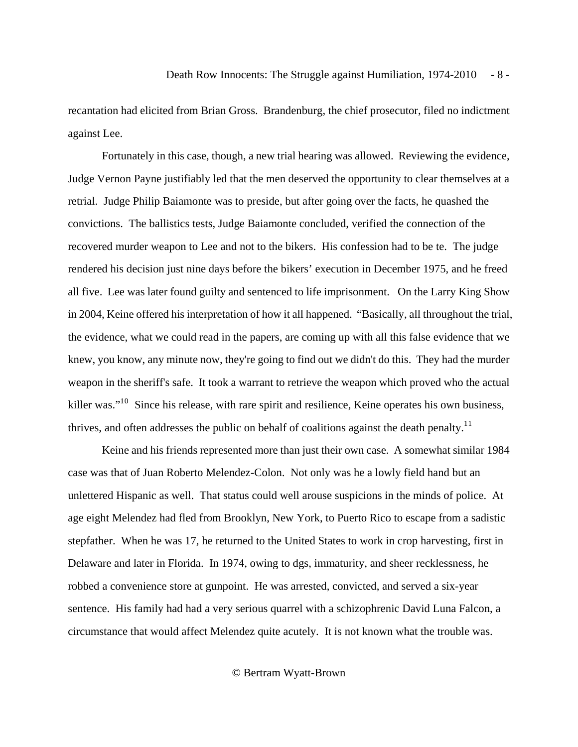recantation had elicited from Brian Gross. Brandenburg, the chief prosecutor, filed no indictment against Lee.

 Fortunately in this case, though, a new trial hearing was allowed. Reviewing the evidence, Judge Vernon Payne justifiably led that the men deserved the opportunity to clear themselves at a retrial. Judge Philip Baiamonte was to preside, but after going over the facts, he quashed the convictions. The ballistics tests, Judge Baiamonte concluded, verified the connection of the recovered murder weapon to Lee and not to the bikers. His confession had to be te. The judge rendered his decision just nine days before the bikers' execution in December 1975, and he freed all five. Lee was later found guilty and sentenced to life imprisonment. On the Larry King Show in 2004, Keine offered his interpretation of how it all happened. "Basically, all throughout the trial, the evidence, what we could read in the papers, are coming up with all this false evidence that we knew, you know, any minute now, they're going to find out we didn't do this. They had the murder weapon in the sheriff's safe. It took a warrant to retrieve the weapon which proved who the actual killer was."<sup>1[0](#page-30-0)</sup> Since his release, with rare spirit and resilience, Keine operates his own business, thrives, and often addresses the public on behalf of coalitions against the death penalty.<sup>[1](#page-30-0)1</sup>

 Keine and his friends represented more than just their own case. A somewhat similar 1984 case was that of Juan Roberto Melendez-Colon. Not only was he a lowly field hand but an unlettered Hispanic as well. That status could well arouse suspicions in the minds of police. At age eight Melendez had fled from Brooklyn, New York, to Puerto Rico to escape from a sadistic stepfather. When he was 17, he returned to the United States to work in crop harvesting, first in Delaware and later in Florida. In 1974, owing to dgs, immaturity, and sheer recklessness, he robbed a convenience store at gunpoint. He was arrested, convicted, and served a six-year sentence. His family had had a very serious quarrel with a schizophrenic David Luna Falcon, a circumstance that would affect Melendez quite acutely. It is not known what the trouble was.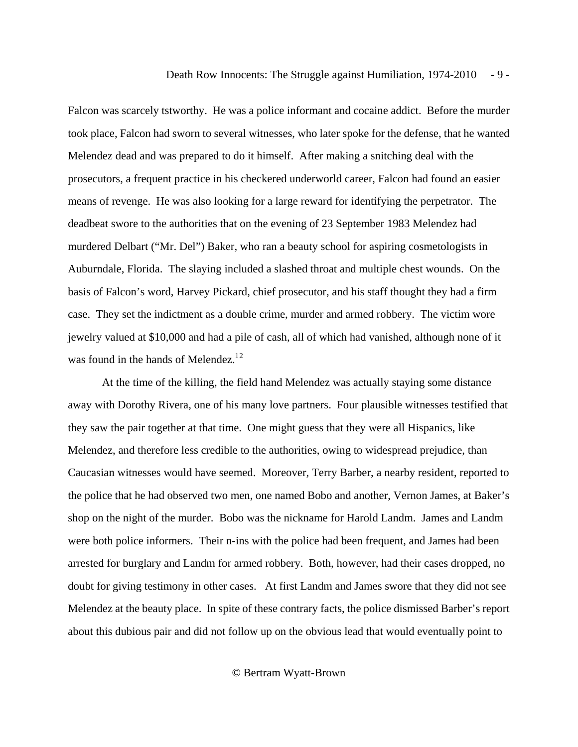Falcon was scarcely tstworthy. He was a police informant and cocaine addict. Before the murder took place, Falcon had sworn to several witnesses, who later spoke for the defense, that he wanted Melendez dead and was prepared to do it himself. After making a snitching deal with the prosecutors, a frequent practice in his checkered underworld career, Falcon had found an easier means of revenge. He was also looking for a large reward for identifying the perpetrator. The deadbeat swore to the authorities that on the evening of 23 September 1983 Melendez had murdered Delbart ("Mr. Del") Baker, who ran a beauty school for aspiring cosmetologists in Auburndale, Florida. The slaying included a slashed throat and multiple chest wounds. On the basis of Falcon's word, Harvey Pickard, chief prosecutor, and his staff thought they had a firm case. They set the indictment as a double crime, murder and armed robbery. The victim wore jewelry valued at \$10,000 and had a pile of cash, all of which had vanished, although none of it was found in the hands of Melendez.<sup>1[2](#page-30-0)</sup>

 At the time of the killing, the field hand Melendez was actually staying some distance away with Dorothy Rivera, one of his many love partners. Four plausible witnesses testified that they saw the pair together at that time. One might guess that they were all Hispanics, like Melendez, and therefore less credible to the authorities, owing to widespread prejudice, than Caucasian witnesses would have seemed. Moreover, Terry Barber, a nearby resident, reported to the police that he had observed two men, one named Bobo and another, Vernon James, at Baker's shop on the night of the murder. Bobo was the nickname for Harold Landm. James and Landm were both police informers. Their n-ins with the police had been frequent, and James had been arrested for burglary and Landm for armed robbery. Both, however, had their cases dropped, no doubt for giving testimony in other cases. At first Landm and James swore that they did not see Melendez at the beauty place. In spite of these contrary facts, the police dismissed Barber's report about this dubious pair and did not follow up on the obvious lead that would eventually point to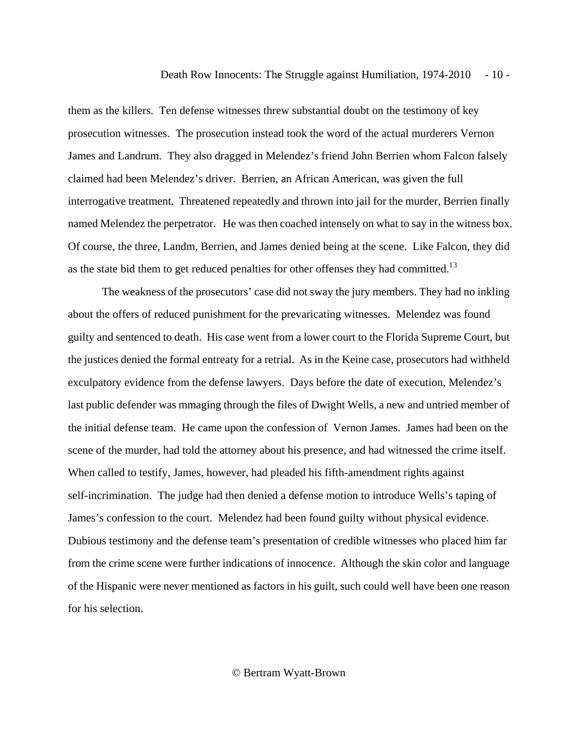them as the killers. Ten defense witnesses threw substantial doubt on the testimony of key prosecution witnesses. The prosecution instead took the word of the actual murderers Vernon James and Landrum. They also dragged in Melendez's friend John Berrien whom Falcon falsely claimed had been Melendez's driver. Berrien, an African American, was given the full interrogative treatment. Threatened repeatedly and thrown into jail for the murder, Berrien finally named Melendez the perpetrator. He was then coached intensely on what to say in the witness box. Of course, the three, Landm, Berrien, and James denied being at the scene. Like Falcon, they did as the state bid them to get reduced penalties for other offenses they had committed.<sup>1[3](#page-30-0)</sup>

 The weakness of the prosecutors' case did not sway the jury members. They had no inkling about the offers of reduced punishment for the prevaricating witnesses. Melendez was found guilty and sentenced to death. His case went from a lower court to the Florida Supreme Court, but the justices denied the formal entreaty for a retrial. As in the Keine case, prosecutors had withheld exculpatory evidence from the defense lawyers. Days before the date of execution, Melendez's last public defender was mmaging through the files of Dwight Wells, a new and untried member of the initial defense team. He came upon the confession of Vernon James. James had been on the scene of the murder, had told the attorney about his presence, and had witnessed the crime itself. When called to testify, James, however, had pleaded his fifth-amendment rights against self-incrimination. The judge had then denied a defense motion to introduce Wells's taping of James's confession to the court. Melendez had been found guilty without physical evidence. Dubious testimony and the defense team's presentation of credible witnesses who placed him far from the crime scene were further indications of innocence. Although the skin color and language of the Hispanic were never mentioned as factors in his guilt, such could well have been one reason for his selection.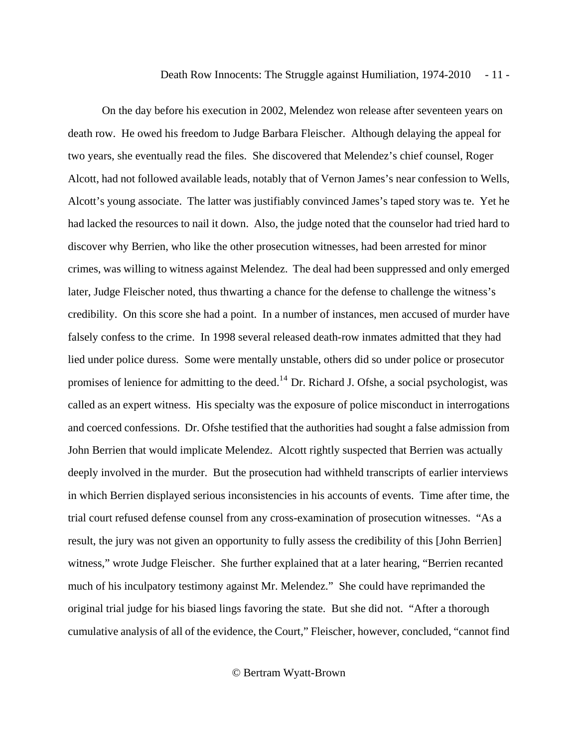On the day before his execution in 2002, Melendez won release after seventeen years on death row. He owed his freedom to Judge Barbara Fleischer. Although delaying the appeal for two years, she eventually read the files. She discovered that Melendez's chief counsel, Roger Alcott, had not followed available leads, notably that of Vernon James's near confession to Wells, Alcott's young associate. The latter was justifiably convinced James's taped story was te. Yet he had lacked the resources to nail it down. Also, the judge noted that the counselor had tried hard to discover why Berrien, who like the other prosecution witnesses, had been arrested for minor crimes, was willing to witness against Melendez. The deal had been suppressed and only emerged later, Judge Fleischer noted, thus thwarting a chance for the defense to challenge the witness's credibility. On this score she had a point. In a number of instances, men accused of murder have falsely confess to the crime. In 1998 several released death-row inmates admitted that they had lied under police duress. Some were mentally unstable, others did so under police or prosecutor promises of lenience for admitting to the deed.<sup>1[4](#page-30-0)</sup> Dr. Richard J. Ofshe, a social psychologist, was called as an expert witness. His specialty was the exposure of police misconduct in interrogations and coerced confessions. Dr. Ofshe testified that the authorities had sought a false admission from John Berrien that would implicate Melendez. Alcott rightly suspected that Berrien was actually deeply involved in the murder. But the prosecution had withheld transcripts of earlier interviews in which Berrien displayed serious inconsistencies in his accounts of events. Time after time, the trial court refused defense counsel from any cross-examination of prosecution witnesses. "As a result, the jury was not given an opportunity to fully assess the credibility of this [John Berrien] witness," wrote Judge Fleischer. She further explained that at a later hearing, "Berrien recanted much of his inculpatory testimony against Mr. Melendez." She could have reprimanded the original trial judge for his biased lings favoring the state. But she did not. "After a thorough cumulative analysis of all of the evidence, the Court," Fleischer, however, concluded, "cannot find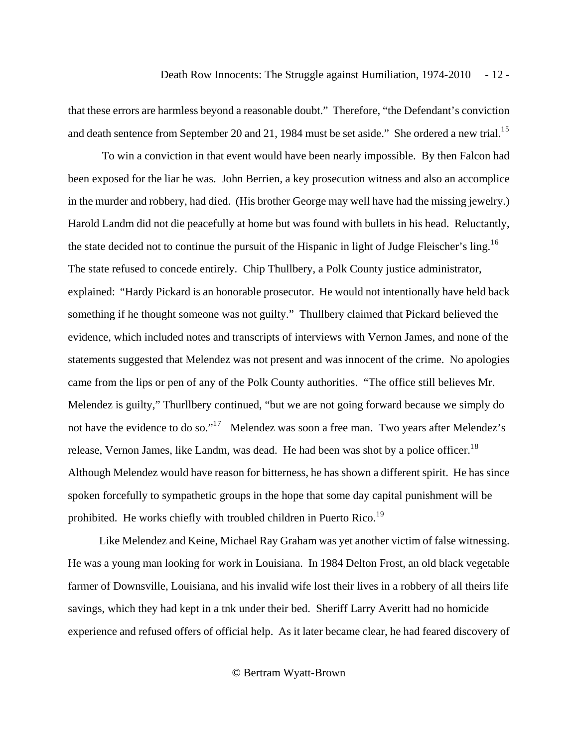that these errors are harmless beyond a reasonable doubt." Therefore, "the Defendant's conviction and death sentence from September 20 and 21, 1984 must be set aside." She ordered a new trial.<sup>1[5](#page-31-0)</sup>

 To win a conviction in that event would have been nearly impossible. By then Falcon had been exposed for the liar he was. John Berrien, a key prosecution witness and also an accomplice in the murder and robbery, had died. (His brother George may well have had the missing jewelry.) Harold Landm did not die peacefully at home but was found with bullets in his head. Reluctantly, the state decided not to continue the pursuit of the Hispanic in light of Judge Fleischer's ling.<sup>1[6](#page-31-0)</sup> The state refused to concede entirely. Chip Thullbery, a Polk County justice administrator, explained: "Hardy Pickard is an honorable prosecutor. He would not intentionally have held back something if he thought someone was not guilty." Thullbery claimed that Pickard believed the evidence, which included notes and transcripts of interviews with Vernon James, and none of the statements suggested that Melendez was not present and was innocent of the crime. No apologies came from the lips or pen of any of the Polk County authorities. "The office still believes Mr. Melendez is guilty," Thurllbery continued, "but we are not going forward because we simply do not have the evidence to do so."<sup>1[7](#page-31-0)</sup> Melendez was soon a free man. Two years after Melendez's release, Vernon James, like Landm, was dead. He had been was shot by a police officer.<sup>1[8](#page-31-0)</sup> Although Melendez would have reason for bitterness, he has shown a different spirit. He has since spoken forcefully to sympathetic groups in the hope that some day capital punishment will be prohibited. He works chiefly with troubled children in Puerto Rico.<sup>1[9](#page-31-0)</sup>

 Like Melendez and Keine, Michael Ray Graham was yet another victim of false witnessing. He was a young man looking for work in Louisiana. In 1984 Delton Frost, an old black vegetable farmer of Downsville, Louisiana, and his invalid wife lost their lives in a robbery of all theirs life savings, which they had kept in a tnk under their bed. Sheriff Larry Averitt had no homicide experience and refused offers of official help. As it later became clear, he had feared discovery of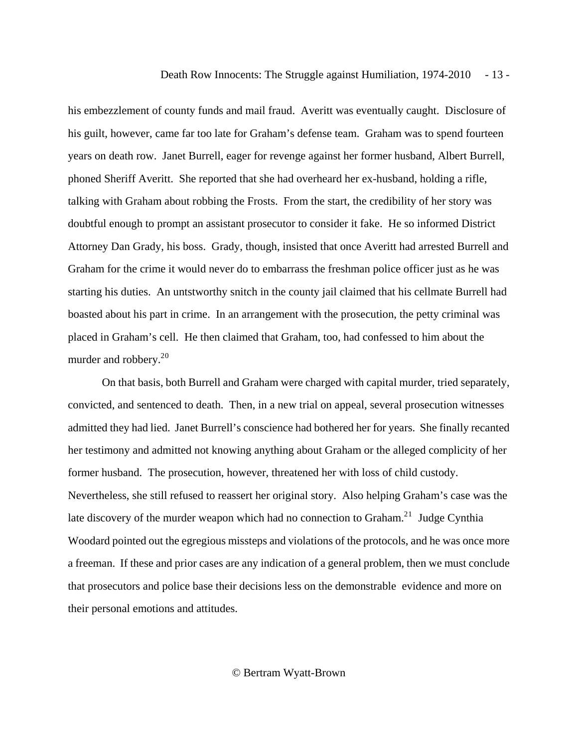his embezzlement of county funds and mail fraud. Averitt was eventually caught. Disclosure of his guilt, however, came far too late for Graham's defense team. Graham was to spend fourteen years on death row. Janet Burrell, eager for revenge against her former husband, Albert Burrell, phoned Sheriff Averitt. She reported that she had overheard her ex-husband, holding a rifle, talking with Graham about robbing the Frosts. From the start, the credibility of her story was doubtful enough to prompt an assistant prosecutor to consider it fake. He so informed District Attorney Dan Grady, his boss. Grady, though, insisted that once Averitt had arrested Burrell and Graham for the crime it would never do to embarrass the freshman police officer just as he was starting his duties. An untstworthy snitch in the county jail claimed that his cellmate Burrell had boasted about his part in crime. In an arrangement with the prosecution, the petty criminal was placed in Graham's cell. He then claimed that Graham, too, had confessed to him about the murder and robbery.<sup>2[0](#page-31-0)</sup>

 On that basis, both Burrell and Graham were charged with capital murder, tried separately, convicted, and sentenced to death. Then, in a new trial on appeal, several prosecution witnesses admitted they had lied. Janet Burrell's conscience had bothered her for years. She finally recanted her testimony and admitted not knowing anything about Graham or the alleged complicity of her former husband. The prosecution, however, threatened her with loss of child custody. Nevertheless, she still refused to reassert her original story. Also helping Graham's case was the late discovery of the murder weapon which had no connection to Graham.<sup>2[1](#page-31-0)</sup> Judge Cynthia Woodard pointed out the egregious missteps and violations of the protocols, and he was once more a freeman. If these and prior cases are any indication of a general problem, then we must conclude that prosecutors and police base their decisions less on the demonstrable evidence and more on their personal emotions and attitudes.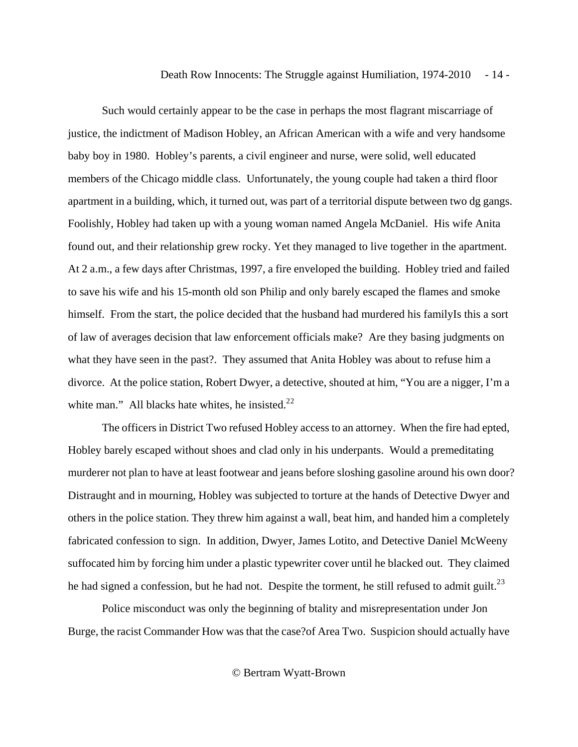Such would certainly appear to be the case in perhaps the most flagrant miscarriage of justice, the indictment of Madison Hobley, an African American with a wife and very handsome baby boy in 1980. Hobley's parents, a civil engineer and nurse, were solid, well educated members of the Chicago middle class. Unfortunately, the young couple had taken a third floor apartment in a building, which, it turned out, was part of a territorial dispute between two dg gangs. Foolishly, Hobley had taken up with a young woman named Angela McDaniel. His wife Anita found out, and their relationship grew rocky. Yet they managed to live together in the apartment. At 2 a.m., a few days after Christmas, 1997, a fire enveloped the building. Hobley tried and failed to save his wife and his 15-month old son Philip and only barely escaped the flames and smoke himself. From the start, the police decided that the husband had murdered his familyIs this a sort of law of averages decision that law enforcement officials make? Are they basing judgments on what they have seen in the past?. They assumed that Anita Hobley was about to refuse him a divorce. At the police station, Robert Dwyer, a detective, shouted at him, "You are a nigger, I'm a white man." All blacks hate whites, he insisted. $22$  $22$ 

 The officers in District Two refused Hobley access to an attorney. When the fire had epted, Hobley barely escaped without shoes and clad only in his underpants. Would a premeditating murderer not plan to have at least footwear and jeans before sloshing gasoline around his own door? Distraught and in mourning, Hobley was subjected to torture at the hands of Detective Dwyer and others in the police station. They threw him against a wall, beat him, and handed him a completely fabricated confession to sign. In addition, Dwyer, James Lotito, and Detective Daniel McWeeny suffocated him by forcing him under a plastic typewriter cover until he blacked out. They claimed he had signed a confession, but he had not. Despite the torment, he still refused to admit guilt.<sup>2[3](#page-32-0)</sup>

 Police misconduct was only the beginning of btality and misrepresentation under Jon Burge, the racist Commander How was that the case?of Area Two. Suspicion should actually have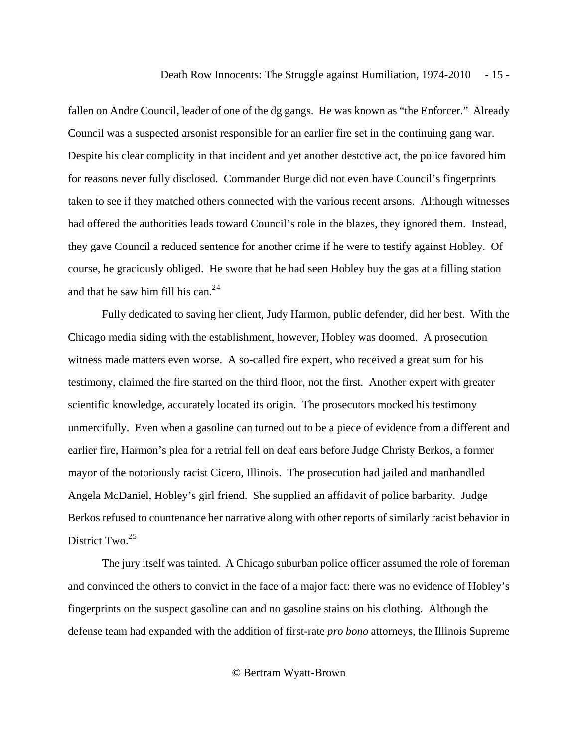fallen on Andre Council, leader of one of the dg gangs. He was known as "the Enforcer." Already Council was a suspected arsonist responsible for an earlier fire set in the continuing gang war. Despite his clear complicity in that incident and yet another destctive act, the police favored him for reasons never fully disclosed. Commander Burge did not even have Council's fingerprints taken to see if they matched others connected with the various recent arsons. Although witnesses had offered the authorities leads toward Council's role in the blazes, they ignored them. Instead, they gave Council a reduced sentence for another crime if he were to testify against Hobley. Of course, he graciously obliged. He swore that he had seen Hobley buy the gas at a filling station and that he saw him fill his can. $24$  $24$ 

 Fully dedicated to saving her client, Judy Harmon, public defender, did her best. With the Chicago media siding with the establishment, however, Hobley was doomed. A prosecution witness made matters even worse. A so-called fire expert, who received a great sum for his testimony, claimed the fire started on the third floor, not the first. Another expert with greater scientific knowledge, accurately located its origin. The prosecutors mocked his testimony unmercifully. Even when a gasoline can turned out to be a piece of evidence from a different and earlier fire, Harmon's plea for a retrial fell on deaf ears before Judge Christy Berkos, a former mayor of the notoriously racist Cicero, Illinois. The prosecution had jailed and manhandled Angela McDaniel, Hobley's girl friend. She supplied an affidavit of police barbarity. Judge Berkos refused to countenance her narrative along with other reports of similarly racist behavior in District Two.<sup>2[5](#page-32-0)</sup>

 The jury itself was tainted. A Chicago suburban police officer assumed the role of foreman and convinced the others to convict in the face of a major fact: there was no evidence of Hobley's fingerprints on the suspect gasoline can and no gasoline stains on his clothing. Although the defense team had expanded with the addition of first-rate *pro bono* attorneys, the Illinois Supreme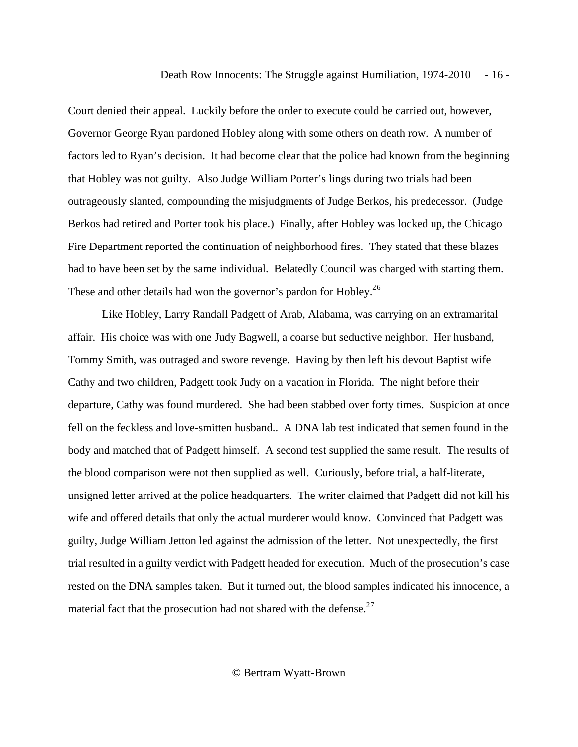Court denied their appeal. Luckily before the order to execute could be carried out, however, Governor George Ryan pardoned Hobley along with some others on death row. A number of factors led to Ryan's decision. It had become clear that the police had known from the beginning that Hobley was not guilty. Also Judge William Porter's lings during two trials had been outrageously slanted, compounding the misjudgments of Judge Berkos, his predecessor. (Judge Berkos had retired and Porter took his place.) Finally, after Hobley was locked up, the Chicago Fire Department reported the continuation of neighborhood fires. They stated that these blazes had to have been set by the same individual. Belatedly Council was charged with starting them. These and other details had won the governor's pardon for Hobley.<sup>2[6](#page-32-0)</sup>

 Like Hobley, Larry Randall Padgett of Arab, Alabama, was carrying on an extramarital affair. His choice was with one Judy Bagwell, a coarse but seductive neighbor. Her husband, Tommy Smith, was outraged and swore revenge. Having by then left his devout Baptist wife Cathy and two children, Padgett took Judy on a vacation in Florida. The night before their departure, Cathy was found murdered. She had been stabbed over forty times. Suspicion at once fell on the feckless and love-smitten husband.. A DNA lab test indicated that semen found in the body and matched that of Padgett himself. A second test supplied the same result. The results of the blood comparison were not then supplied as well. Curiously, before trial, a half-literate, unsigned letter arrived at the police headquarters. The writer claimed that Padgett did not kill his wife and offered details that only the actual murderer would know. Convinced that Padgett was guilty, Judge William Jetton led against the admission of the letter. Not unexpectedly, the first trial resulted in a guilty verdict with Padgett headed for execution. Much of the prosecution's case rested on the DNA samples taken. But it turned out, the blood samples indicated his innocence, a material fact that the prosecution had not shared with the defense. $27$  $27$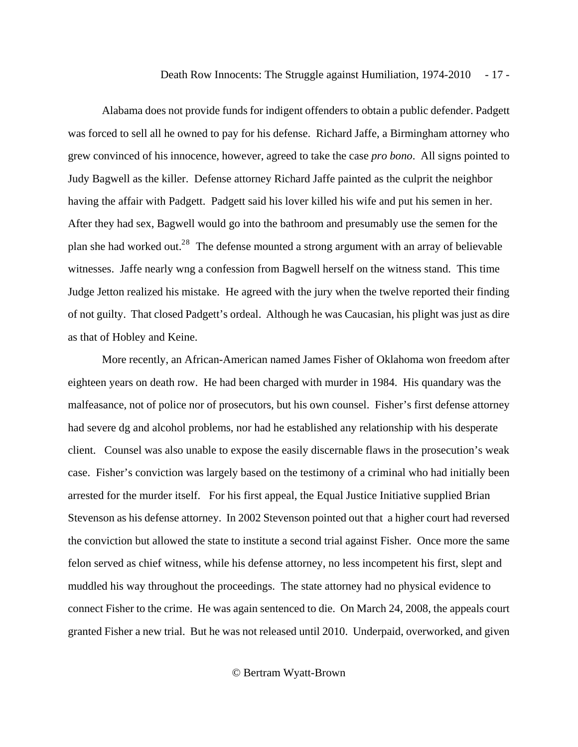Alabama does not provide funds for indigent offenders to obtain a public defender. Padgett was forced to sell all he owned to pay for his defense. Richard Jaffe, a Birmingham attorney who grew convinced of his innocence, however, agreed to take the case *pro bono*. All signs pointed to Judy Bagwell as the killer. Defense attorney Richard Jaffe painted as the culprit the neighbor having the affair with Padgett. Padgett said his lover killed his wife and put his semen in her. After they had sex, Bagwell would go into the bathroom and presumably use the semen for the plan she had worked out.<sup>2[8](#page-32-0)</sup> The defense mounted a strong argument with an array of believable witnesses. Jaffe nearly wng a confession from Bagwell herself on the witness stand. This time Judge Jetton realized his mistake. He agreed with the jury when the twelve reported their finding of not guilty. That closed Padgett's ordeal. Although he was Caucasian, his plight was just as dire as that of Hobley and Keine.

 More recently, an African-American named James Fisher of Oklahoma won freedom after eighteen years on death row. He had been charged with murder in 1984. His quandary was the malfeasance, not of police nor of prosecutors, but his own counsel. Fisher's first defense attorney had severe dg and alcohol problems, nor had he established any relationship with his desperate client. Counsel was also unable to expose the easily discernable flaws in the prosecution's weak case. Fisher's conviction was largely based on the testimony of a criminal who had initially been arrested for the murder itself. For his first appeal, the Equal Justice Initiative supplied Brian Stevenson as his defense attorney. In 2002 Stevenson pointed out that a higher court had reversed the conviction but allowed the state to institute a second trial against Fisher. Once more the same felon served as chief witness, while his defense attorney, no less incompetent his first, slept and muddled his way throughout the proceedings. The state attorney had no physical evidence to connect Fisher to the crime. He was again sentenced to die. On March 24, 2008, the appeals court granted Fisher a new trial. But he was not released until 2010. Underpaid, overworked, and given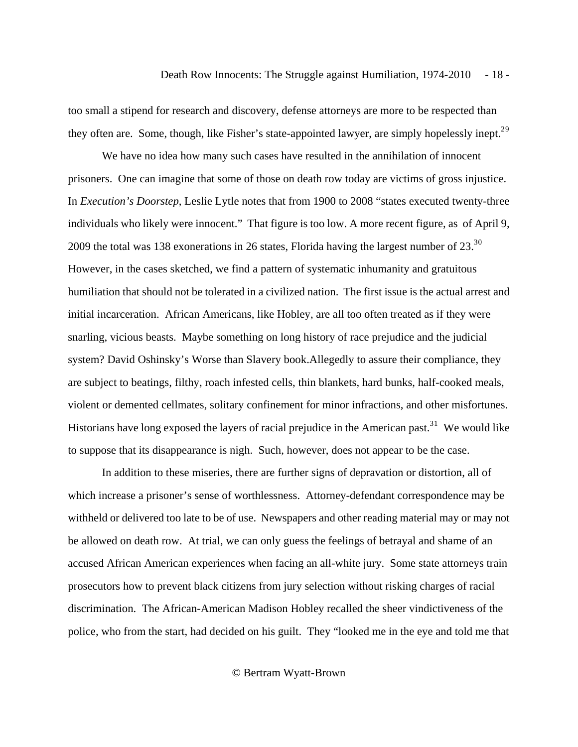too small a stipend for research and discovery, defense attorneys are more to be respected than they often are. Some, though, like Fisher's state-appointed lawyer, are simply hopelessly inept.<sup>2[9](#page-32-0)</sup>

 We have no idea how many such cases have resulted in the annihilation of innocent prisoners. One can imagine that some of those on death row today are victims of gross injustice. In *Execution's Doorstep*, Leslie Lytle notes that from 1900 to 2008 "states executed twenty-three individuals who likely were innocent." That figure is too low. A more recent figure, as of April 9, 2[0](#page-32-0)09 the total was 138 exonerations in 26 states, Florida having the largest number of  $23.^{30}$ However, in the cases sketched, we find a pattern of systematic inhumanity and gratuitous humiliation that should not be tolerated in a civilized nation. The first issue is the actual arrest and initial incarceration. African Americans, like Hobley, are all too often treated as if they were snarling, vicious beasts. Maybe something on long history of race prejudice and the judicial system? David Oshinsky's Worse than Slavery book.Allegedly to assure their compliance, they are subject to beatings, filthy, roach infested cells, thin blankets, hard bunks, half-cooked meals, violent or demented cellmates, solitary confinement for minor infractions, and other misfortunes. Historians have long exposed the layers of racial prejudice in the American past.<sup>3[1](#page-33-0)</sup> We would like to suppose that its disappearance is nigh. Such, however, does not appear to be the case.

 In addition to these miseries, there are further signs of depravation or distortion, all of which increase a prisoner's sense of worthlessness. Attorney-defendant correspondence may be withheld or delivered too late to be of use. Newspapers and other reading material may or may not be allowed on death row. At trial, we can only guess the feelings of betrayal and shame of an accused African American experiences when facing an all-white jury. Some state attorneys train prosecutors how to prevent black citizens from jury selection without risking charges of racial discrimination. The African-American Madison Hobley recalled the sheer vindictiveness of the police, who from the start, had decided on his guilt. They "looked me in the eye and told me that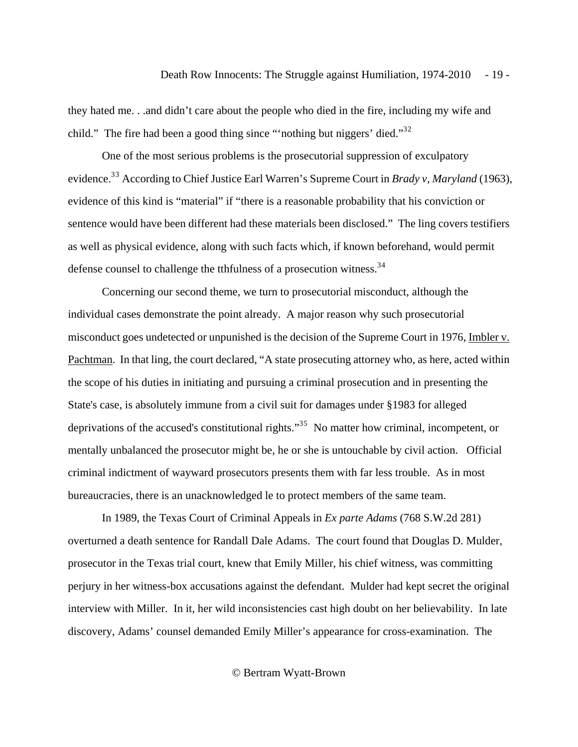they hated me. . .and didn't care about the people who died in the fire, including my wife and child." The fire had been a good thing since "'nothing but niggers' died."<sup>3[2](#page-33-0)</sup>

 One of the most serious problems is the prosecutorial suppression of exculpatory evidence.<sup>[3](#page-33-0)3</sup> According to Chief Justice Earl Warren's Supreme Court in *Brady v, Maryland* (1963), evidence of this kind is "material" if "there is a reasonable probability that his conviction or sentence would have been different had these materials been disclosed." The ling covers testifiers as well as physical evidence, along with such facts which, if known beforehand, would permit defense counsel to challenge the tthfulness of a prosecution witness.<sup>3[4](#page-33-0)</sup>

 Concerning our second theme, we turn to prosecutorial misconduct, although the individual cases demonstrate the point already. A major reason why such prosecutorial misconduct goes undetected or unpunished is the decision of the Supreme Court in 1976, Imbler v. Pachtman. In that ling, the court declared, "A state prosecuting attorney who, as here, acted within the scope of his duties in initiating and pursuing a criminal prosecution and in presenting the State's case, is absolutely immune from a civil suit for damages under §1983 for alleged deprivations of the accused's constitutional rights."<sup>3[5](#page-33-0)</sup> No matter how criminal, incompetent, or mentally unbalanced the prosecutor might be, he or she is untouchable by civil action. Official criminal indictment of wayward prosecutors presents them with far less trouble. As in most bureaucracies, there is an unacknowledged le to protect members of the same team.

 In 1989, the Texas Court of Criminal Appeals in *Ex parte Adams* (768 S.W.2d 281) overturned a death sentence for Randall Dale Adams. The court found that Douglas D. Mulder, prosecutor in the Texas trial court, knew that Emily Miller, his chief witness, was committing perjury in her witness-box accusations against the defendant. Mulder had kept secret the original interview with Miller. In it, her wild inconsistencies cast high doubt on her believability. In late discovery, Adams' counsel demanded Emily Miller's appearance for cross-examination. The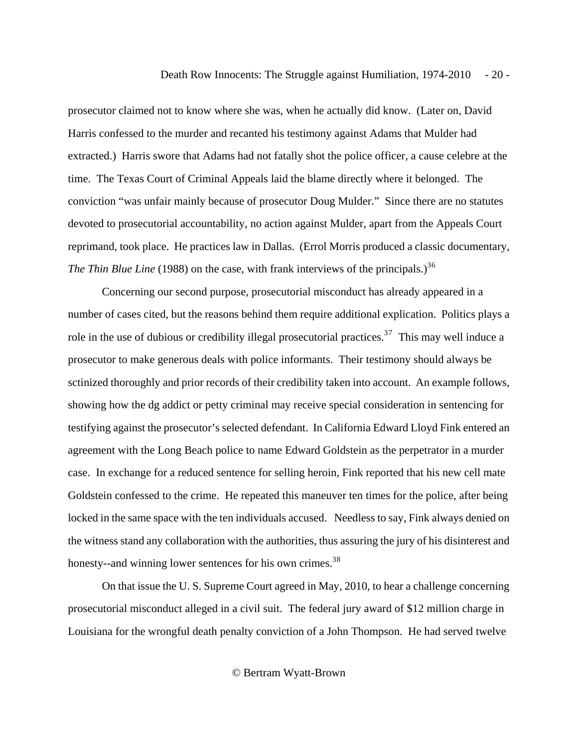prosecutor claimed not to know where she was, when he actually did know. (Later on, David Harris confessed to the murder and recanted his testimony against Adams that Mulder had extracted.) Harris swore that Adams had not fatally shot the police officer, a cause celebre at the time. The Texas Court of Criminal Appeals laid the blame directly where it belonged. The conviction "was unfair mainly because of prosecutor Doug Mulder." Since there are no statutes devoted to prosecutorial accountability, no action against Mulder, apart from the Appeals Court reprimand, took place. He practices law in Dallas. (Errol Morris produced a classic documentary, *The Thin Blue Line* (1988) on the case, with frank interviews of the principals.)<sup>3[6](#page-33-0)</sup>

 Concerning our second purpose, prosecutorial misconduct has already appeared in a number of cases cited, but the reasons behind them require additional explication. Politics plays a role in the use of dubious or credibility illegal prosecutorial practices.<sup>3[7](#page-34-0)</sup> This may well induce a prosecutor to make generous deals with police informants. Their testimony should always be sctinized thoroughly and prior records of their credibility taken into account. An example follows, showing how the dg addict or petty criminal may receive special consideration in sentencing for testifying against the prosecutor's selected defendant. In California Edward Lloyd Fink entered an agreement with the Long Beach police to name Edward Goldstein as the perpetrator in a murder case. In exchange for a reduced sentence for selling heroin, Fink reported that his new cell mate Goldstein confessed to the crime. He repeated this maneuver ten times for the police, after being locked in the same space with the ten individuals accused. Needless to say, Fink always denied on the witness stand any collaboration with the authorities, thus assuring the jury of his disinterest and honesty--and winning lower sentences for his own crimes.<sup>3[8](#page-34-0)</sup>

 On that issue the U. S. Supreme Court agreed in May, 2010, to hear a challenge concerning prosecutorial misconduct alleged in a civil suit. The federal jury award of \$12 million charge in Louisiana for the wrongful death penalty conviction of a John Thompson. He had served twelve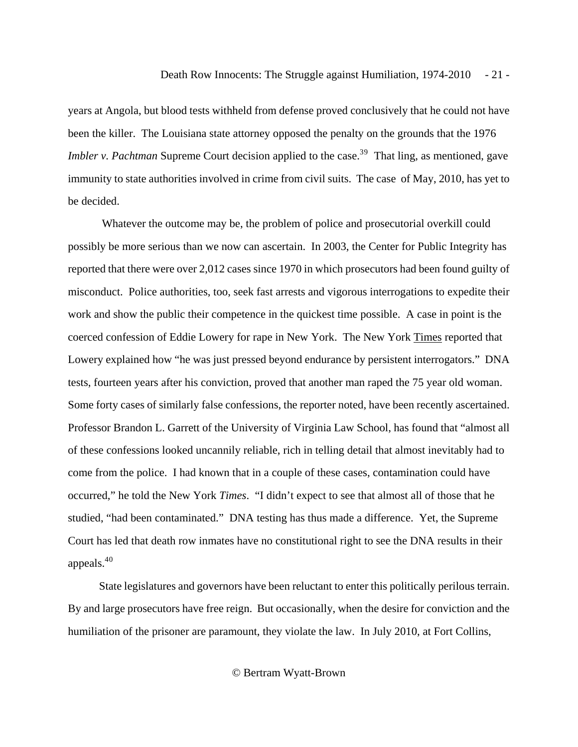years at Angola, but blood tests withheld from defense proved conclusively that he could not have been the killer. The Louisiana state attorney opposed the penalty on the grounds that the 1976 *Imbler v. Pachtman* Supreme Court decision applied to the case.<sup>3[9](#page-34-0)</sup> That ling, as mentioned, gave immunity to state authorities involved in crime from civil suits. The case of May, 2010, has yet to be decided.

 Whatever the outcome may be, the problem of police and prosecutorial overkill could possibly be more serious than we now can ascertain. In 2003, the Center for Public Integrity has reported that there were over 2,012 cases since 1970 in which prosecutors had been found guilty of misconduct. Police authorities, too, seek fast arrests and vigorous interrogations to expedite their work and show the public their competence in the quickest time possible. A case in point is the coerced confession of Eddie Lowery for rape in New York. The New York Times reported that Lowery explained how "he was just pressed beyond endurance by persistent interrogators." DNA tests, fourteen years after his conviction, proved that another man raped the 75 year old woman. Some forty cases of similarly false confessions, the reporter noted, have been recently ascertained. Professor Brandon L. Garrett of the University of Virginia Law School, has found that "almost all of these confessions looked uncannily reliable, rich in telling detail that almost inevitably had to come from the police. I had known that in a couple of these cases, contamination could have occurred," he told the New York *Times*. "I didn't expect to see that almost all of those that he studied, "had been contaminated." DNA testing has thus made a difference. Yet, the Supreme Court has led that death row inmates have no constitutional right to see the DNA results in their appeals. $40<sup>40</sup>$  $40<sup>40</sup>$  $40<sup>40</sup>$ 

 State legislatures and governors have been reluctant to enter this politically perilous terrain. By and large prosecutors have free reign. But occasionally, when the desire for conviction and the humiliation of the prisoner are paramount, they violate the law. In July 2010, at Fort Collins,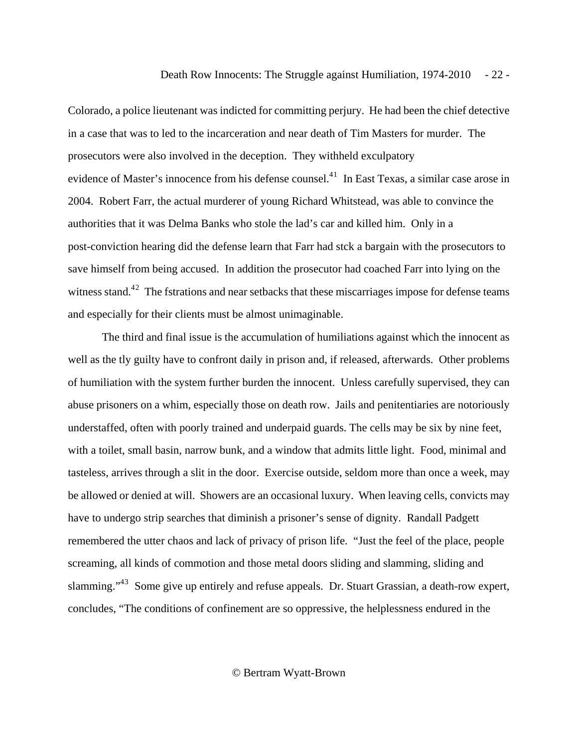Colorado, a police lieutenant was indicted for committing perjury. He had been the chief detective in a case that was to led to the incarceration and near death of Tim Masters for murder. The prosecutors were also involved in the deception. They withheld exculpatory evidence of Master's innocence from his defense counsel.<sup>4[1](#page-34-0)</sup> In East Texas, a similar case arose in 2004. Robert Farr, the actual murderer of young Richard Whitstead, was able to convince the authorities that it was Delma Banks who stole the lad's car and killed him. Only in a post-conviction hearing did the defense learn that Farr had stck a bargain with the prosecutors to save himself from being accused. In addition the prosecutor had coached Farr into lying on the witness stand.<sup>4[2](#page-35-0)</sup> The fstrations and near setbacks that these miscarriages impose for defense teams and especially for their clients must be almost unimaginable.

 The third and final issue is the accumulation of humiliations against which the innocent as well as the tly guilty have to confront daily in prison and, if released, afterwards. Other problems of humiliation with the system further burden the innocent. Unless carefully supervised, they can abuse prisoners on a whim, especially those on death row. Jails and penitentiaries are notoriously understaffed, often with poorly trained and underpaid guards. The cells may be six by nine feet, with a toilet, small basin, narrow bunk, and a window that admits little light. Food, minimal and tasteless, arrives through a slit in the door. Exercise outside, seldom more than once a week, may be allowed or denied at will. Showers are an occasional luxury. When leaving cells, convicts may have to undergo strip searches that diminish a prisoner's sense of dignity. Randall Padgett remembered the utter chaos and lack of privacy of prison life. "Just the feel of the place, people screaming, all kinds of commotion and those metal doors sliding and slamming, sliding and slamming."4[3](#page-35-0) Some give up entirely and refuse appeals. Dr. Stuart Grassian, a death-row expert, concludes, "The conditions of confinement are so oppressive, the helplessness endured in the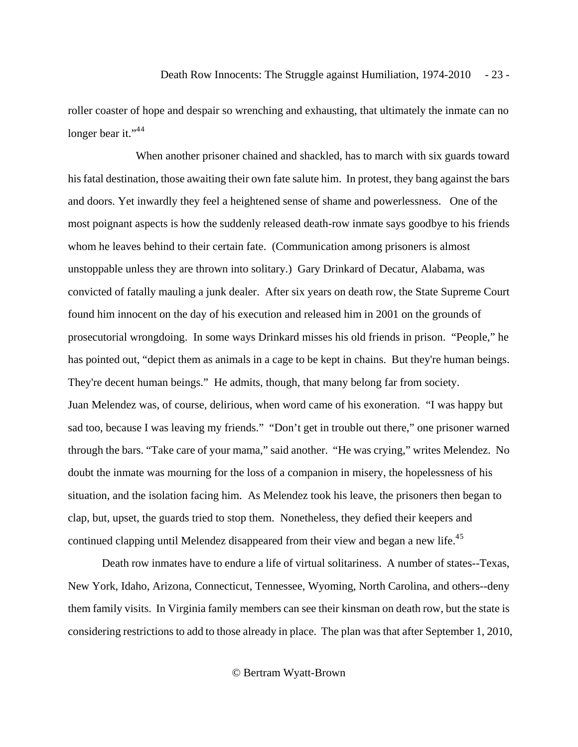roller coaster of hope and despair so wrenching and exhausting, that ultimately the inmate can no longer bear it."<sup>[4](#page-35-0)4</sup>

 When another prisoner chained and shackled, has to march with six guards toward his fatal destination, those awaiting their own fate salute him. In protest, they bang against the bars and doors. Yet inwardly they feel a heightened sense of shame and powerlessness. One of the most poignant aspects is how the suddenly released death-row inmate says goodbye to his friends whom he leaves behind to their certain fate. (Communication among prisoners is almost unstoppable unless they are thrown into solitary.) Gary Drinkard of Decatur, Alabama, was convicted of fatally mauling a junk dealer. After six years on death row, the State Supreme Court found him innocent on the day of his execution and released him in 2001 on the grounds of prosecutorial wrongdoing. In some ways Drinkard misses his old friends in prison. "People," he has pointed out, "depict them as animals in a cage to be kept in chains. But they're human beings. They're decent human beings." He admits, though, that many belong far from society. Juan Melendez was, of course, delirious, when word came of his exoneration. "I was happy but sad too, because I was leaving my friends." "Don't get in trouble out there," one prisoner warned through the bars. "Take care of your mama," said another. "He was crying," writes Melendez. No doubt the inmate was mourning for the loss of a companion in misery, the hopelessness of his situation, and the isolation facing him. As Melendez took his leave, the prisoners then began to clap, but, upset, the guards tried to stop them. Nonetheless, they defied their keepers and continued clapping until Melendez disappeared from their view and began a new life.<sup>4[5](#page-35-0)</sup>

 Death row inmates have to endure a life of virtual solitariness. A number of states--Texas, New York, Idaho, Arizona, Connecticut, Tennessee, Wyoming, North Carolina, and others--deny them family visits. In Virginia family members can see their kinsman on death row, but the state is considering restrictions to add to those already in place. The plan was that after September 1, 2010,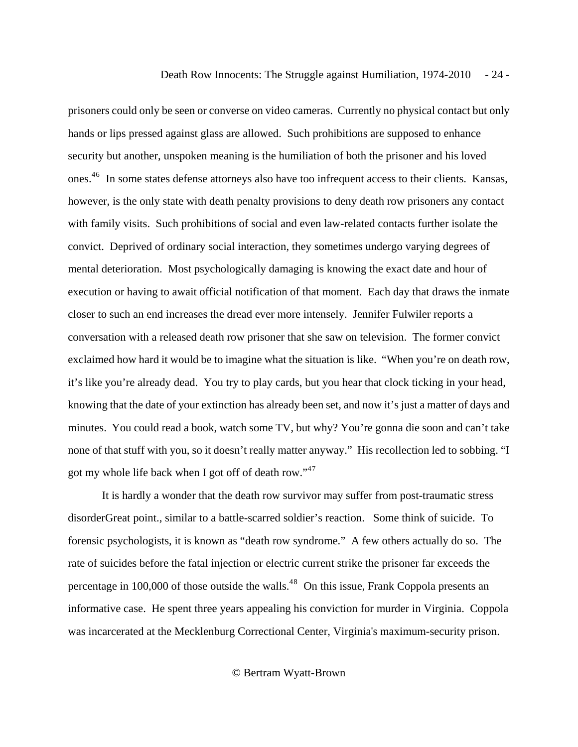prisoners could only be seen or converse on video cameras. Currently no physical contact but only hands or lips pressed against glass are allowed. Such prohibitions are supposed to enhance security but another, unspoken meaning is the humiliation of both the prisoner and his loved ones.<sup>4[6](#page-35-0)</sup> In some states defense attorneys also have too infrequent access to their clients. Kansas, however, is the only state with death penalty provisions to deny death row prisoners any contact with family visits. Such prohibitions of social and even law-related contacts further isolate the convict. Deprived of ordinary social interaction, they sometimes undergo varying degrees of mental deterioration. Most psychologically damaging is knowing the exact date and hour of execution or having to await official notification of that moment. Each day that draws the inmate closer to such an end increases the dread ever more intensely. Jennifer Fulwiler reports a conversation with a released death row prisoner that she saw on television. The former convict exclaimed how hard it would be to imagine what the situation is like. "When you're on death row, it's like you're already dead. You try to play cards, but you hear that clock ticking in your head, knowing that the date of your extinction has already been set, and now it's just a matter of days and minutes. You could read a book, watch some TV, but why? You're gonna die soon and can't take none of that stuff with you, so it doesn't really matter anyway." His recollection led to sobbing. "I got my whole life back when I got off of death row."<sup>4[7](#page-35-0)</sup>

 It is hardly a wonder that the death row survivor may suffer from post-traumatic stress disorderGreat point., similar to a battle-scarred soldier's reaction. Some think of suicide. To forensic psychologists, it is known as "death row syndrome." A few others actually do so. The rate of suicides before the fatal injection or electric current strike the prisoner far exceeds the percentage in 100,000 of those outside the walls.<sup>4[8](#page-35-0)</sup> On this issue, Frank Coppola presents an informative case. He spent three years appealing his conviction for murder in Virginia. Coppola was incarcerated at the Mecklenburg Correctional Center, Virginia's maximum-security prison.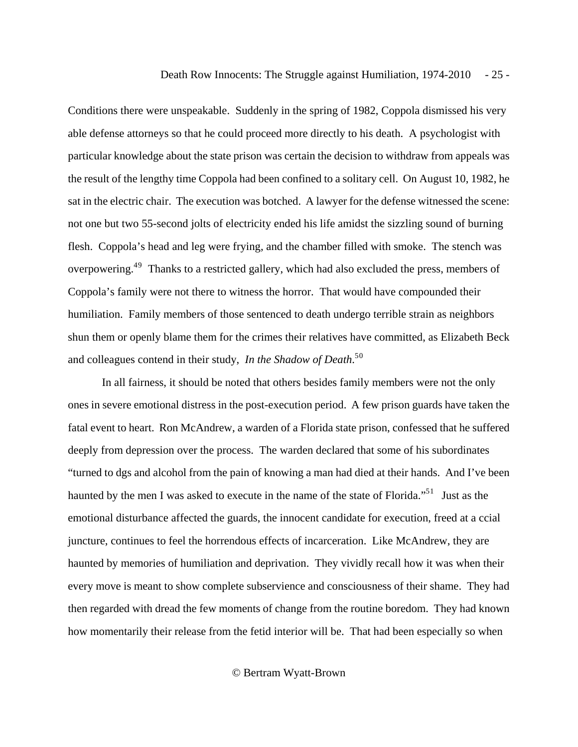Conditions there were unspeakable. Suddenly in the spring of 1982, Coppola dismissed his very able defense attorneys so that he could proceed more directly to his death. A psychologist with particular knowledge about the state prison was certain the decision to withdraw from appeals was the result of the lengthy time Coppola had been confined to a solitary cell. On August 10, 1982, he sat in the electric chair. The execution was botched. A lawyer for the defense witnessed the scene: not one but two 55-second jolts of electricity ended his life amidst the sizzling sound of burning flesh. Coppola's head and leg were frying, and the chamber filled with smoke. The stench was overpowering.<sup>4[9](#page-35-0)</sup> Thanks to a restricted gallery, which had also excluded the press, members of Coppola's family were not there to witness the horror. That would have compounded their humiliation. Family members of those sentenced to death undergo terrible strain as neighbors shun them or openly blame them for the crimes their relatives have committed, as Elizabeth Beck and colleagues contend in their study, *In the Shadow of Death*. 5[0](#page-36-0)

 In all fairness, it should be noted that others besides family members were not the only ones in severe emotional distress in the post-execution period. A few prison guards have taken the fatal event to heart. Ron McAndrew, a warden of a Florida state prison, confessed that he suffered deeply from depression over the process. The warden declared that some of his subordinates "turned to dgs and alcohol from the pain of knowing a man had died at their hands. And I've been haunted by the men I was asked to execute in the name of the state of Florida."<sup>5[1](#page-36-0)</sup> Just as the emotional disturbance affected the guards, the innocent candidate for execution, freed at a ccial juncture, continues to feel the horrendous effects of incarceration. Like McAndrew, they are haunted by memories of humiliation and deprivation. They vividly recall how it was when their every move is meant to show complete subservience and consciousness of their shame. They had then regarded with dread the few moments of change from the routine boredom. They had known how momentarily their release from the fetid interior will be. That had been especially so when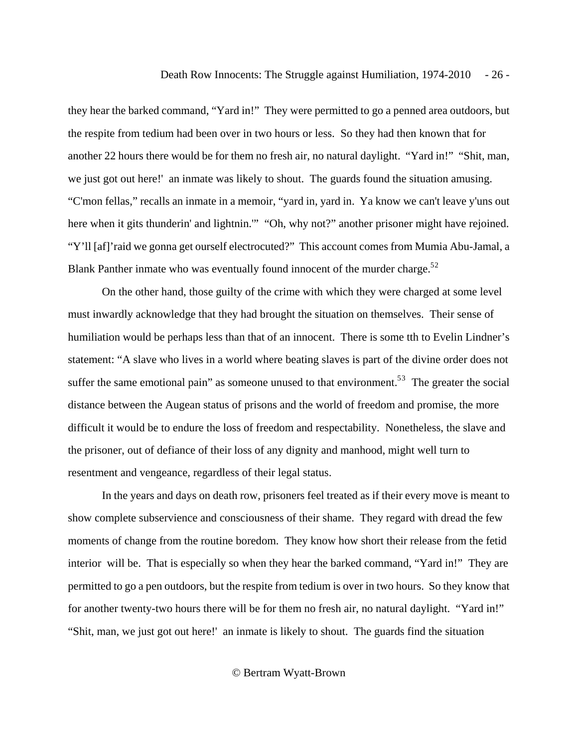they hear the barked command, "Yard in!" They were permitted to go a penned area outdoors, but the respite from tedium had been over in two hours or less. So they had then known that for another 22 hours there would be for them no fresh air, no natural daylight. "Yard in!" "Shit, man, we just got out here!' an inmate was likely to shout. The guards found the situation amusing. "C'mon fellas," recalls an inmate in a memoir, "yard in, yard in. Ya know we can't leave y'uns out here when it gits thunderin' and lightnin."" "Oh, why not?" another prisoner might have rejoined. "Y'll [af]'raid we gonna get ourself electrocuted?" This account comes from Mumia Abu-Jamal, a Blank Panther inmate who was eventually found innocent of the murder charge. $52$  $52$ 

 On the other hand, those guilty of the crime with which they were charged at some level must inwardly acknowledge that they had brought the situation on themselves. Their sense of humiliation would be perhaps less than that of an innocent. There is some tth to Evelin Lindner's statement: "A slave who lives in a world where beating slaves is part of the divine order does not suffer the same emotional pain" as someone unused to that environment.<sup>5[3](#page-36-0)</sup> The greater the social distance between the Augean status of prisons and the world of freedom and promise, the more difficult it would be to endure the loss of freedom and respectability. Nonetheless, the slave and the prisoner, out of defiance of their loss of any dignity and manhood, might well turn to resentment and vengeance, regardless of their legal status.

 In the years and days on death row, prisoners feel treated as if their every move is meant to show complete subservience and consciousness of their shame. They regard with dread the few moments of change from the routine boredom. They know how short their release from the fetid interior will be. That is especially so when they hear the barked command, "Yard in!" They are permitted to go a pen outdoors, but the respite from tedium is over in two hours. So they know that for another twenty-two hours there will be for them no fresh air, no natural daylight. "Yard in!" "Shit, man, we just got out here!' an inmate is likely to shout. The guards find the situation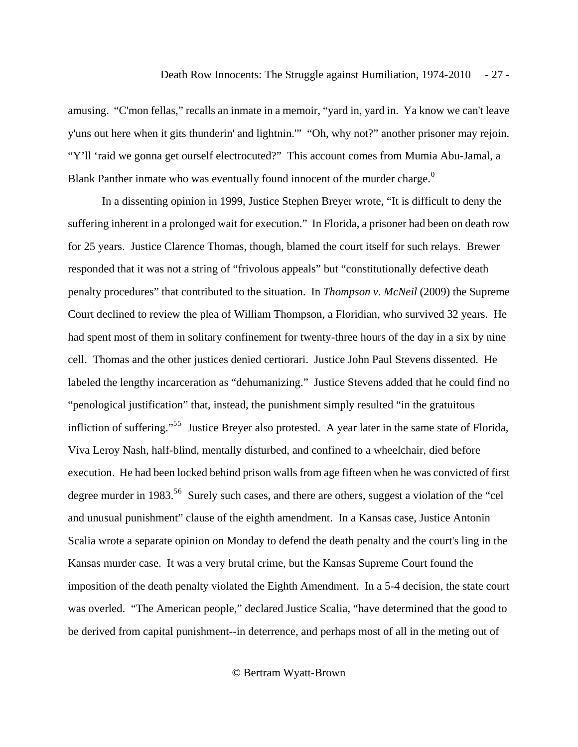amusing. "C'mon fellas," recalls an inmate in a memoir, "yard in, yard in. Ya know we can't leave y'uns out here when it gits thunderin' and lightnin.'" "Oh, why not?" another prisoner may rejoin. "Y'll 'raid we gonna get ourself electrocuted?" This account comes from Mumia Abu-Jamal, a Blank Panther inmate who was eventually found innocent of the murder charge.<sup>[0](#page-36-0)</sup>

 In a dissenting opinion in 1999, Justice Stephen Breyer wrote, "It is difficult to deny the suffering inherent in a prolonged wait for execution." In Florida, a prisoner had been on death row for 25 years. Justice Clarence Thomas, though, blamed the court itself for such relays. Brewer responded that it was not a string of "frivolous appeals" but "constitutionally defective death penalty procedures" that contributed to the situation. In *Thompson v. McNeil* (2009) the Supreme Court declined to review the plea of William Thompson, a Floridian, who survived 32 years. He had spent most of them in solitary confinement for twenty-three hours of the day in a six by nine cell. Thomas and the other justices denied certiorari. Justice John Paul Stevens dissented. He labeled the lengthy incarceration as "dehumanizing." Justice Stevens added that he could find no "penological justification" that, instead, the punishment simply resulted "in the gratuitous infliction of suffering."<sup>[5](#page-36-0)5</sup> Justice Breyer also protested. A year later in the same state of Florida, Viva Leroy Nash, half-blind, mentally disturbed, and confined to a wheelchair, died before execution. He had been locked behind prison walls from age fifteen when he was convicted of first degree murder in 1983.<sup>5[6](#page-36-0)</sup> Surely such cases, and there are others, suggest a violation of the "cel and unusual punishment" clause of the eighth amendment. In a Kansas case, Justice Antonin Scalia wrote a separate opinion on Monday to defend the death penalty and the court's ling in the Kansas murder case. It was a very brutal crime, but the Kansas Supreme Court found the imposition of the death penalty violated the Eighth Amendment. In a 5-4 decision, the state court was overled. "The American people," declared Justice Scalia, "have determined that the good to be derived from capital punishment--in deterrence, and perhaps most of all in the meting out of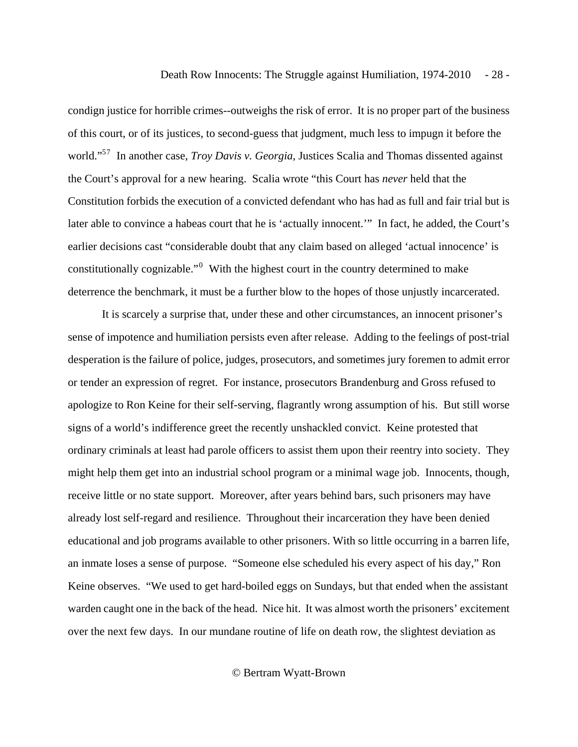condign justice for horrible crimes--outweighs the risk of error. It is no proper part of the business of this court, or of its justices, to second-guess that judgment, much less to impugn it before the world."5[7](#page-36-0) In another case, *Troy Davis v. Georgia*, Justices Scalia and Thomas dissented against the Court's approval for a new hearing. Scalia wrote "this Court has *never* held that the Constitution forbids the execution of a convicted defendant who has had as full and fair trial but is later able to convince a habeas court that he is 'actually innocent.'" In fact, he added, the Court's earlier decisions cast "considerable doubt that any claim based on alleged 'actual innocence' is constitutionally cognizable."<sup> $0$ </sup> With the highest court in the country determined to make deterrence the benchmark, it must be a further blow to the hopes of those unjustly incarcerated.

 It is scarcely a surprise that, under these and other circumstances, an innocent prisoner's sense of impotence and humiliation persists even after release. Adding to the feelings of post-trial desperation is the failure of police, judges, prosecutors, and sometimes jury foremen to admit error or tender an expression of regret. For instance, prosecutors Brandenburg and Gross refused to apologize to Ron Keine for their self-serving, flagrantly wrong assumption of his. But still worse signs of a world's indifference greet the recently unshackled convict. Keine protested that ordinary criminals at least had parole officers to assist them upon their reentry into society. They might help them get into an industrial school program or a minimal wage job. Innocents, though, receive little or no state support. Moreover, after years behind bars, such prisoners may have already lost self-regard and resilience. Throughout their incarceration they have been denied educational and job programs available to other prisoners. With so little occurring in a barren life, an inmate loses a sense of purpose. "Someone else scheduled his every aspect of his day," Ron Keine observes. "We used to get hard-boiled eggs on Sundays, but that ended when the assistant warden caught one in the back of the head. Nice hit. It was almost worth the prisoners' excitement over the next few days. In our mundane routine of life on death row, the slightest deviation as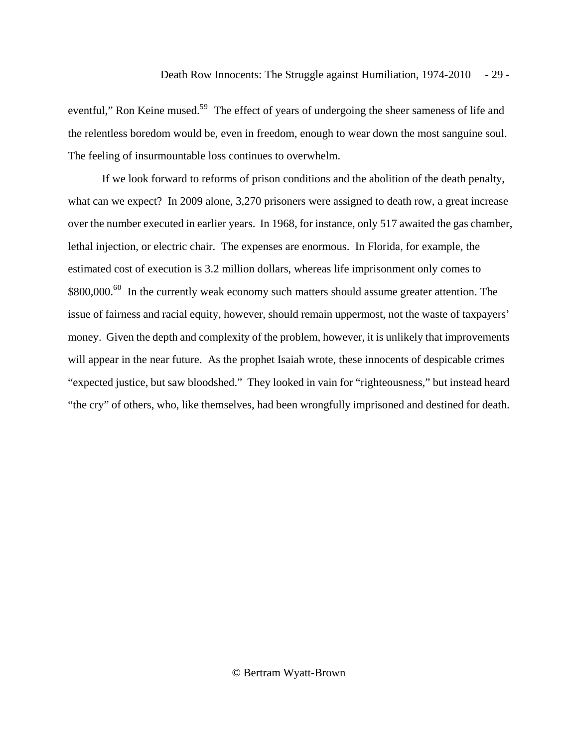eventful," Ron Keine mused.<sup>5[9](#page-37-0)</sup> The effect of years of undergoing the sheer sameness of life and the relentless boredom would be, even in freedom, enough to wear down the most sanguine soul. The feeling of insurmountable loss continues to overwhelm.

 If we look forward to reforms of prison conditions and the abolition of the death penalty, what can we expect? In 2009 alone, 3,270 prisoners were assigned to death row, a great increase over the number executed in earlier years. In 1968, for instance, only 517 awaited the gas chamber, lethal injection, or electric chair. The expenses are enormous. In Florida, for example, the estimated cost of execution is 3.2 million dollars, whereas life imprisonment only comes to \$8[0](#page-37-0)0,000.<sup>60</sup> In the currently weak economy such matters should assume greater attention. The issue of fairness and racial equity, however, should remain uppermost, not the waste of taxpayers' money. Given the depth and complexity of the problem, however, it is unlikely that improvements will appear in the near future. As the prophet Isaiah wrote, these innocents of despicable crimes "expected justice, but saw bloodshed." They looked in vain for "righteousness," but instead heard "the cry" of others, who, like themselves, had been wrongfully imprisoned and destined for death.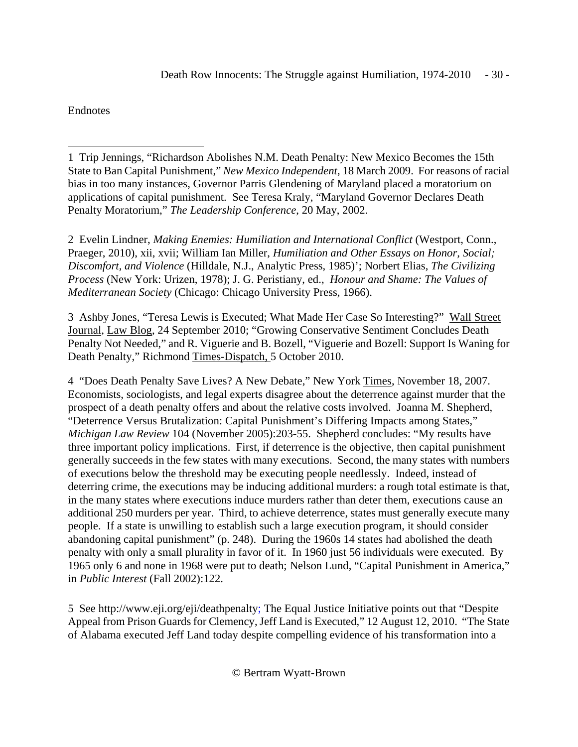<span id="page-29-1"></span>Endnotes

2 Evelin Lindner, *Making Enemies: Humiliation and International Conflict* (Westport, Conn., Praeger, 2010), xii, xvii; William Ian Miller, *Humiliation and Other Essays on Honor, Social; Discomfort, and Violence* (Hilldale, N.J., Analytic Press, 1985)'; Norbert Elias, *The Civilizing Process* (New York: Urizen, 1978); J. G. Peristiany, ed., *Honour and Shame: The Values of Mediterranean Society* (Chicago: Chicago University Press, 1966).

3 Ashby Jones, "Teresa Lewis is Executed; What Made Her Case So Interesting?" Wall Street Journal, Law Blog, 24 September 2010; "Growing Conservative Sentiment Concludes Death Penalty Not Needed," and R. Viguerie and B. Bozell, "Viguerie and Bozell: Support Is Waning for Death Penalty," Richmond Times-Dispatch, 5 October 2010.

4 "Does Death Penalty Save Lives? A New Debate," New York Times, November 18, 2007. Economists, sociologists, and legal experts disagree about the deterrence against murder that the prospect of a death penalty offers and about the relative costs involved. Joanna M. Shepherd, "Deterrence Versus Brutalization: Capital Punishment's Differing Impacts among States," *Michigan Law Review* 104 (November 2005):203-55. Shepherd concludes: "My results have three important policy implications. First, if deterrence is the objective, then capital punishment generally succeeds in the few states with many executions. Second, the many states with numbers of executions below the threshold may be executing people needlessly. Indeed, instead of deterring crime, the executions may be inducing additional murders: a rough total estimate is that, in the many states where executions induce murders rather than deter them, executions cause an additional 250 murders per year. Third, to achieve deterrence, states must generally execute many people. If a state is unwilling to establish such a large execution program, it should consider abandoning capital punishment" (p. 248). During the 1960s 14 states had abolished the death penalty with only a small plurality in favor of it. In 1960 just 56 individuals were executed. By 1965 only 6 and none in 1968 were put to death; Nelson Lund, "Capital Punishment in America," in *Public Interest* (Fall 2002):122.

5 See http://www.eji.org/eji/deathpenalty; The Equal Justice Initiative points out that "Despite Appeal from Prison Guards for Clemency, Jeff Land is Executed," 12 August 12, 2010. "The State of Alabama executed Jeff Land today despite compelling evidence of his transformation into a

<span id="page-29-0"></span> $\overline{a}$ 1 Trip Jennings, "Richardson Abolishes N.M. Death Penalty: New Mexico Becomes the 15th State to Ban Capital Punishment," *New Mexico Independent*, 18 March 2009. For reasons of racial bias in too many instances, Governor Parris Glendening of Maryland placed a moratorium on applications of capital punishment. See Teresa Kraly, "Maryland Governor Declares Death Penalty Moratorium," *The Leadership Conference*, 20 May, 2002.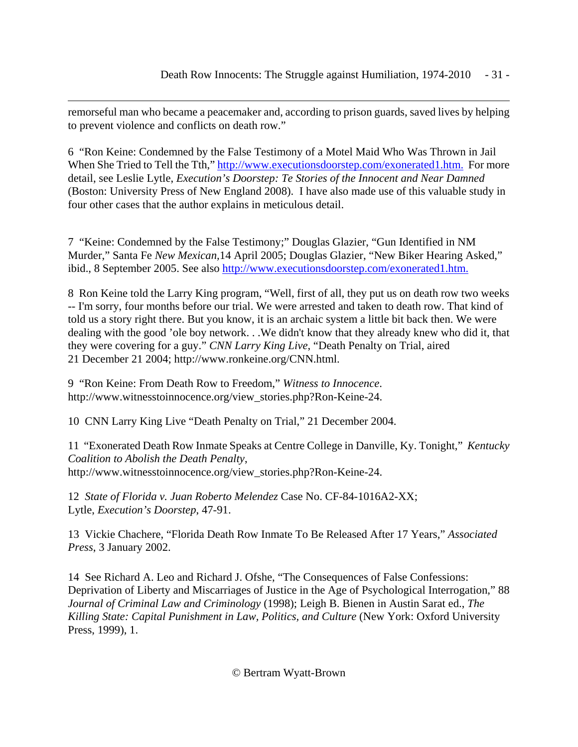<span id="page-30-0"></span> $\overline{a}$ remorseful man who became a peacemaker and, according to prison guards, saved lives by helping to prevent violence and conflicts on death row."

6 "Ron Keine: Condemned by the False Testimony of a Motel Maid Who Was Thrown in Jail When She Tried to Tell the Tth," http://www.executionsdoorstep.com/exonerated1.htm. For more detail, see Leslie Lytle, *Execution's Doorstep: Te Stories of the Innocent and Near Damned* (Boston: University Press of New England 2008). I have also made use of this valuable study in four other cases that the author explains in meticulous detail.

7 "Keine: Condemned by the False Testimony;" Douglas Glazier, "Gun Identified in NM Murder," Santa Fe *New Mexican,*14 April 2005; Douglas Glazier, "New Biker Hearing Asked," ibid., 8 September 2005. See also http://www.executionsdoorstep.com/exonerated1.htm.

8 Ron Keine told the Larry King program, "Well, first of all, they put us on death row two weeks -- I'm sorry, four months before our trial. We were arrested and taken to death row. That kind of told us a story right there. But you know, it is an archaic system a little bit back then. We were dealing with the good 'ole boy network. . .We didn't know that they already knew who did it, that they were covering for a guy." *CNN Larry King Live*, "Death Penalty on Trial, aired 21 December 21 2004; http://www.ronkeine.org/CNN.html.

9 "Ron Keine: From Death Row to Freedom," *Witness to Innocence*. http://www.witnesstoinnocence.org/view\_stories.php?Ron-Keine-24.

10 CNN Larry King Live "Death Penalty on Trial," 21 December 2004.

11 "Exonerated Death Row Inmate Speaks at Centre College in Danville, Ky. Tonight," *Kentucky Coalition to Abolish the Death Penalty*, http://www.witnesstoinnocence.org/view\_stories.php?Ron-Keine-24.

12 *State of Florida v. Juan Roberto Melendez* Case No. CF-84-1016A2-XX; Lytle, *Execution's Doorstep*, 47-91.

13 Vickie Chachere, "Florida Death Row Inmate To Be Released After 17 Years," *Associated Press*, 3 January 2002.

14 See Richard A. Leo and Richard J. Ofshe, "The Consequences of False Confessions: Deprivation of Liberty and Miscarriages of Justice in the Age of Psychological Interrogation," 88 *Journal of Criminal Law and Criminology* (1998); Leigh B. Bienen in Austin Sarat ed., *The Killing State: Capital Punishment in Law, Politics, and Culture* (New York: Oxford University Press, 1999), 1.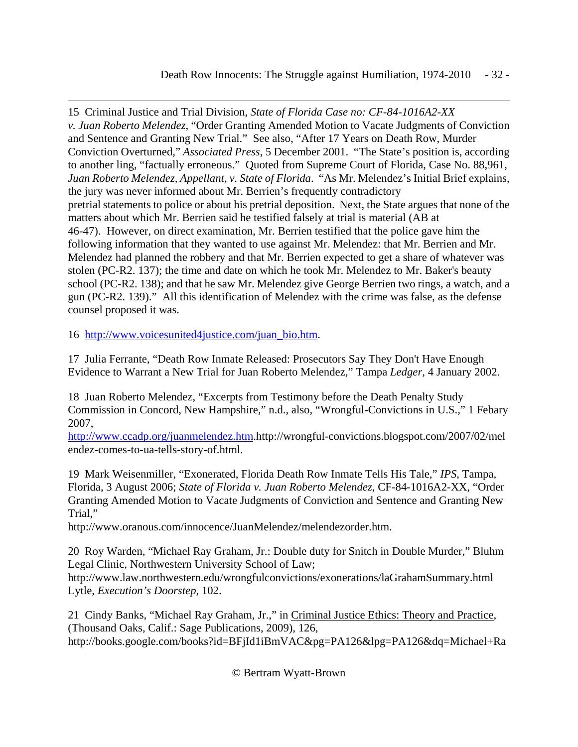Death Row Innocents: The Struggle against Humiliation, 1974-2010 - 32 -

<span id="page-31-0"></span> $\overline{a}$ 15 Criminal Justice and Trial Division, *State of Florida Case no: CF-84-1016A2-XX v. Juan Roberto Melendez*, "Order Granting Amended Motion to Vacate Judgments of Conviction and Sentence and Granting New Trial." See also, "After 17 Years on Death Row, Murder Conviction Overturned," *Associated Press*, 5 December 2001. "The State's position is, according to another ling, "factually erroneous." Quoted from Supreme Court of Florida, Case No. 88,961, *Juan Roberto Melendez, Appellant, v. State of Florida*. "As Mr. Melendez's Initial Brief explains, the jury was never informed about Mr. Berrien's frequently contradictory pretrial statements to police or about his pretrial deposition. Next, the State argues that none of the matters about which Mr. Berrien said he testified falsely at trial is material (AB at 46-47). However, on direct examination, Mr. Berrien testified that the police gave him the following information that they wanted to use against Mr. Melendez: that Mr. Berrien and Mr. Melendez had planned the robbery and that Mr. Berrien expected to get a share of whatever was stolen (PC-R2. 137); the time and date on which he took Mr. Melendez to Mr. Baker's beauty school (PC-R2. 138); and that he saw Mr. Melendez give George Berrien two rings, a watch, and a gun (PC-R2. 139)." All this identification of Melendez with the crime was false, as the defense counsel proposed it was.

16 http://www.voicesunited4justice.com/juan\_bio.htm.

17 Julia Ferrante, "Death Row Inmate Released: Prosecutors Say They Don't Have Enough Evidence to Warrant a New Trial for Juan Roberto Melendez," Tampa *Ledger*, 4 January 2002.

18 Juan Roberto Melendez, "Excerpts from Testimony before the Death Penalty Study Commission in Concord, New Hampshire," n.d., also, "Wrongful-Convictions in U.S.," 1 Febary 2007,

http://www.ccadp.org/juanmelendez.htm.http://wrongful-convictions.blogspot.com/2007/02/mel endez-comes-to-ua-tells-story-of.html.

19 Mark Weisenmiller, "Exonerated, Florida Death Row Inmate Tells His Tale," *IPS*, Tampa, Florida, 3 August 2006; *State of Florida v. Juan Roberto Melendez*, CF-84-1016A2-XX, "Order Granting Amended Motion to Vacate Judgments of Conviction and Sentence and Granting New Trial,"

http://www.oranous.com/innocence/JuanMelendez/melendezorder.htm.

20 Roy Warden, "Michael Ray Graham, Jr.: Double duty for Snitch in Double Murder," Bluhm Legal Clinic, Northwestern University School of Law;

http://www.law.northwestern.edu/wrongfulconvictions/exonerations/laGrahamSummary.html Lytle, *Execution's Doorstep*, 102.

21 Cindy Banks, "Michael Ray Graham, Jr.," in Criminal Justice Ethics: Theory and Practice, (Thousand Oaks, Calif.: Sage Publications, 2009), 126, http://books.google.com/books?id=BFjId1iBmVAC&pg=PA126&lpg=PA126&dq=Michael+Ra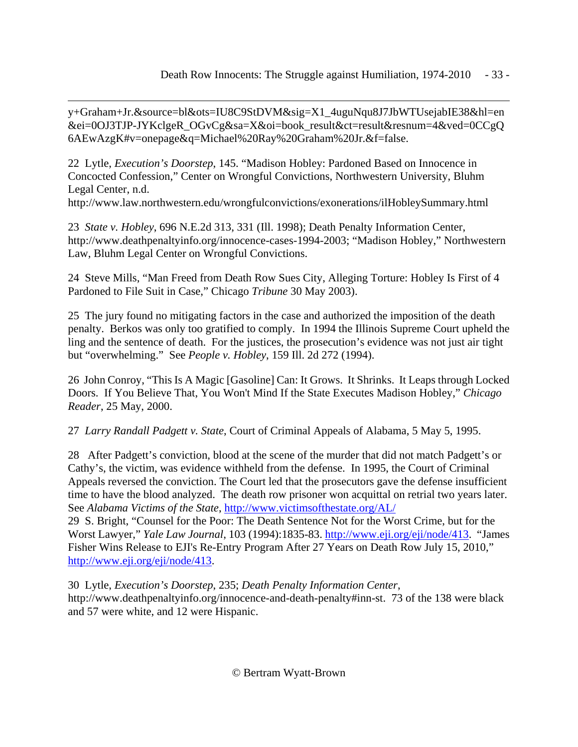<span id="page-32-0"></span> $\overline{a}$ y+Graham+Jr.&source=bl&ots=IU8C9StDVM&sig=X1\_4uguNqu8J7JbWTUsejabIE38&hl=en &ei=0OJ3TJP-JYKclgeR\_OGvCg&sa=X&oi=book\_result&ct=result&resnum=4&ved=0CCgQ 6AEwAzgK#v=onepage&q=Michael%20Ray%20Graham%20Jr.&f=false.

22 Lytle, *Execution's Doorstep*, 145. "Madison Hobley: Pardoned Based on Innocence in Concocted Confession," Center on Wrongful Convictions, Northwestern University, Bluhm Legal Center, n.d.

http://www.law.northwestern.edu/wrongfulconvictions/exonerations/ilHobleySummary.html

23 *State v. Hobley*, 696 N.E.2d 313, 331 (Ill. 1998); Death Penalty Information Center, http://www.deathpenaltyinfo.org/innocence-cases-1994-2003; "Madison Hobley," Northwestern Law, Bluhm Legal Center on Wrongful Convictions.

24 Steve Mills, "Man Freed from Death Row Sues City, Alleging Torture: Hobley Is First of 4 Pardoned to File Suit in Case," Chicago *Tribune* 30 May 2003).

25 The jury found no mitigating factors in the case and authorized the imposition of the death penalty. Berkos was only too gratified to comply. In 1994 the Illinois Supreme Court upheld the ling and the sentence of death. For the justices, the prosecution's evidence was not just air tight but "overwhelming." See *People v. Hobley*, 159 Ill. 2d 272 (1994).

26 John Conroy, "This Is A Magic [Gasoline] Can: It Grows. It Shrinks. It Leaps through Locked Doors. If You Believe That, You Won't Mind If the State Executes Madison Hobley," *Chicago Reader*, 25 May, 2000.

27 *Larry Randall Padgett v. State*, Court of Criminal Appeals of Alabama, 5 May 5, 1995.

28 After Padgett's conviction, blood at the scene of the murder that did not match Padgett's or Cathy's, the victim, was evidence withheld from the defense. In 1995, the Court of Criminal Appeals reversed the conviction. The Court led that the prosecutors gave the defense insufficient time to have the blood analyzed. The death row prisoner won acquittal on retrial two years later. See *Alabama Victims of the State*, http://www.victimsofthestate.org/AL/

29 S. Bright, "Counsel for the Poor: The Death Sentence Not for the Worst Crime, but for the Worst Lawyer," *Yale Law Journal*, 103 (1994):1835-83. http://www.eji.org/eji/node/413. "James Fisher Wins Release to EJI's Re-Entry Program After 27 Years on Death Row July 15, 2010," http://www.eji.org/eji/node/413.

30 Lytle, *Execution's Doorstep*, 235; *Death Penalty Information Center*, http://www.deathpenaltyinfo.org/innocence-and-death-penalty#inn-st. 73 of the 138 were black and 57 were white, and 12 were Hispanic.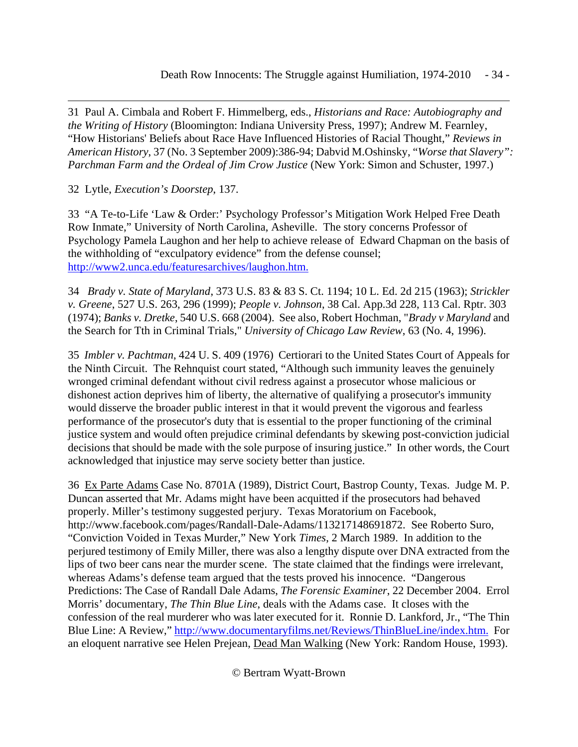<span id="page-33-0"></span> $\overline{a}$ 31 Paul A. Cimbala and Robert F. Himmelberg, eds., *Historians and Race: Autobiography and the Writing of History* (Bloomington: Indiana University Press, 1997); Andrew M. Fearnley, "How Historians' Beliefs about Race Have Influenced Histories of Racial Thought," *Reviews in American History*, 37 (No. 3 September 2009):386-94; Dabvid M.Oshinsky, "*Worse that Slavery": Parchman Farm and the Ordeal of Jim Crow Justice* (New York: Simon and Schuster, 1997.)

32 Lytle, *Execution's Doorstep*, 137.

33 "A Te-to-Life 'Law & Order:' Psychology Professor's Mitigation Work Helped Free Death Row Inmate," University of North Carolina, Asheville. The story concerns Professor of Psychology Pamela Laughon and her help to achieve release of Edward Chapman on the basis of the withholding of "exculpatory evidence" from the defense counsel; http://www2.unca.edu/featuresarchives/laughon.htm.

34 *Brady v. State of Maryland*, 373 U.S. 83 & 83 S. Ct. 1194; 10 L. Ed. 2d 215 (1963); *Strickler v. Greene*, 527 U.S. 263, 296 (1999); *People v. Johnson*, 38 Cal. App.3d 228, 113 Cal. Rptr. 303 (1974); *Banks v. Dretke*, 540 U.S. 668 (2004). See also, Robert Hochman, "*Brady v Maryland* and the Search for Tth in Criminal Trials," *University of Chicago Law Review*, 63 (No. 4, 1996).

35 *Imbler v. Pachtman*, 424 U. S. 409 (1976) Certiorari to the United States Court of Appeals for the Ninth Circuit. The Rehnquist court stated, "Although such immunity leaves the genuinely wronged criminal defendant without civil redress against a prosecutor whose malicious or dishonest action deprives him of liberty, the alternative of qualifying a prosecutor's immunity would disserve the broader public interest in that it would prevent the vigorous and fearless performance of the prosecutor's duty that is essential to the proper functioning of the criminal justice system and would often prejudice criminal defendants by skewing post-conviction judicial decisions that should be made with the sole purpose of insuring justice." In other words, the Court acknowledged that injustice may serve society better than justice.

36 Ex Parte Adams Case No. 8701A (1989), District Court, Bastrop County, Texas. Judge M. P. Duncan asserted that Mr. Adams might have been acquitted if the prosecutors had behaved properly. Miller's testimony suggested perjury. Texas Moratorium on Facebook, http://www.facebook.com/pages/Randall-Dale-Adams/113217148691872. See Roberto Suro, "Conviction Voided in Texas Murder," New York *Times*, 2 March 1989. In addition to the perjured testimony of Emily Miller, there was also a lengthy dispute over DNA extracted from the lips of two beer cans near the murder scene. The state claimed that the findings were irrelevant, whereas Adams's defense team argued that the tests proved his innocence. "Dangerous Predictions: The Case of Randall Dale Adams, *The Forensic Examiner*, 22 December 2004. Errol Morris' documentary, *The Thin Blue Line*, deals with the Adams case. It closes with the confession of the real murderer who was later executed for it. Ronnie D. Lankford, Jr., "The Thin Blue Line: A Review," http://www.documentaryfilms.net/Reviews/ThinBlueLine/index.htm. For an eloquent narrative see Helen Prejean, Dead Man Walking (New York: Random House, 1993).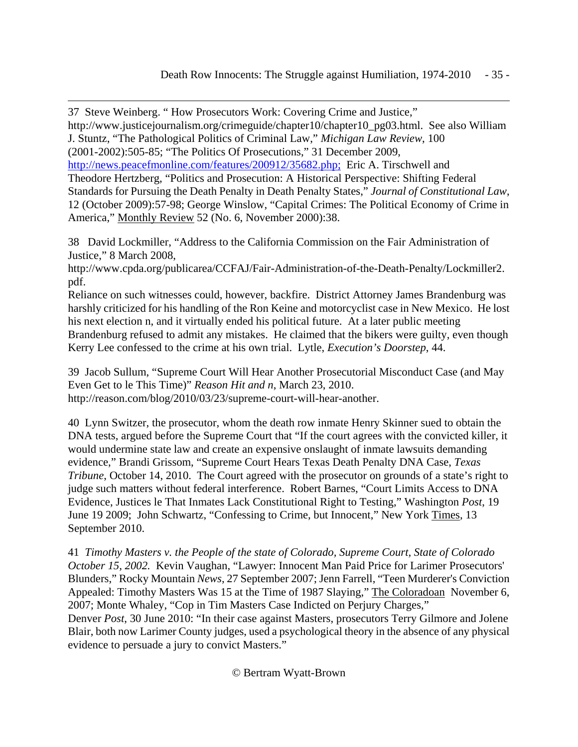<span id="page-34-0"></span> $\overline{a}$ 37 Steve Weinberg. " How Prosecutors Work: Covering Crime and Justice," http://www.justicejournalism.org/crimeguide/chapter10/chapter10\_pg03.html. See also William J. Stuntz, "The Pathological Politics of Criminal Law," *Michigan Law Review*, 100 (2001-2002):505-85; "The Politics Of Prosecutions," 31 December 2009, http://news.peacefmonline.com/features/200912/35682.php; Eric A. Tirschwell and Theodore Hertzberg, "Politics and Prosecution: A Historical Perspective: Shifting Federal Standards for Pursuing the Death Penalty in Death Penalty States," *Journal of Constitutional Law*, 12 (October 2009):57-98; George Winslow, "Capital Crimes: The Political Economy of Crime in America," Monthly Review 52 (No. 6, November 2000):38.

38 David Lockmiller, "Address to the California Commission on the Fair Administration of Justice," 8 March 2008,

http://www.cpda.org/publicarea/CCFAJ/Fair-Administration-of-the-Death-Penalty/Lockmiller2. pdf.

Reliance on such witnesses could, however, backfire. District Attorney James Brandenburg was harshly criticized for his handling of the Ron Keine and motorcyclist case in New Mexico. He lost his next election n, and it virtually ended his political future. At a later public meeting Brandenburg refused to admit any mistakes. He claimed that the bikers were guilty, even though Kerry Lee confessed to the crime at his own trial. Lytle, *Execution's Doorstep*, 44.

39 Jacob Sullum, "Supreme Court Will Hear Another Prosecutorial Misconduct Case (and May Even Get to le This Time)" *Reason Hit and n*, March 23, 2010. http://reason.com/blog/2010/03/23/supreme-court-will-hear-another.

40 Lynn Switzer, the prosecutor, whom the death row inmate Henry Skinner sued to obtain the DNA tests, argued before the Supreme Court that "If the court agrees with the convicted killer, it would undermine state law and create an expensive onslaught of inmate lawsuits demanding evidence," Brandi Grissom, "Supreme Court Hears Texas Death Penalty DNA Case, *Texas Tribune*, October 14, 2010. The Court agreed with the prosecutor on grounds of a state's right to judge such matters without federal interference. Robert Barnes, "Court Limits Access to DNA Evidence, Justices le That Inmates Lack Constitutional Right to Testing," Washington *Post*, 19 June 19 2009; John Schwartz, "Confessing to Crime, but Innocent," New York Times, 13 September 2010.

41 *Timothy Masters v. the People of the state of Colorado, Supreme Court, State of Colorado October 15, 2002.* Kevin Vaughan, "Lawyer: Innocent Man Paid Price for Larimer Prosecutors' Blunders," Rocky Mountain *News*, 27 September 2007; Jenn Farrell, "Teen Murderer's Conviction Appealed: Timothy Masters Was 15 at the Time of 1987 Slaying," The Coloradoan November 6, 2007; Monte Whaley, "Cop in Tim Masters Case Indicted on Perjury Charges," Denver *Post*, 30 June 2010: "In their case against Masters, prosecutors Terry Gilmore and Jolene Blair, both now Larimer County judges, used a psychological theory in the absence of any physical evidence to persuade a jury to convict Masters."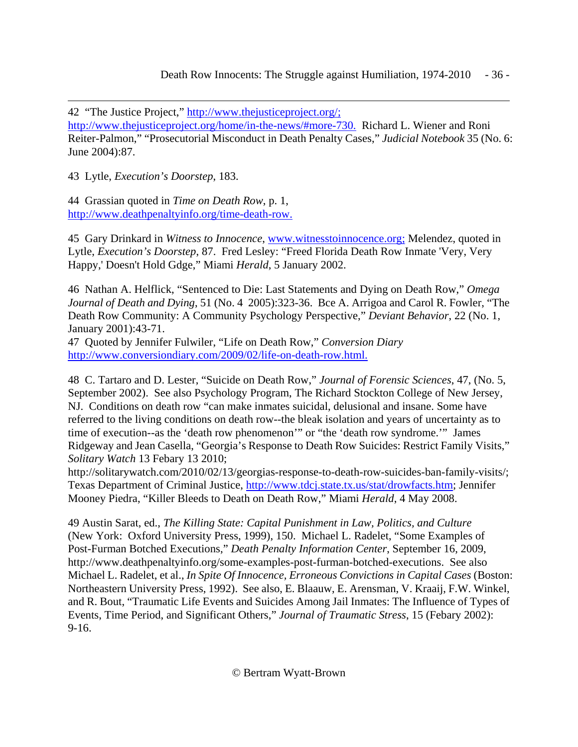Death Row Innocents: The Struggle against Humiliation, 1974-2010 - 36 -

42 "The Justice Project," http://www.thejusticeproject.org/;

http://www.thejusticeproject.org/home/in-the-news/#more-730. Richard L. Wiener and Roni Reiter-Palmon," "Prosecutorial Misconduct in Death Penalty Cases," *Judicial Notebook* 35 (No. 6: June 2004):87.

43 Lytle, *Execution's Doorstep*, 183.

<span id="page-35-0"></span> $\overline{a}$ 

44 Grassian quoted in *Time on Death Row*, p. 1, http://www.deathpenaltyinfo.org/time-death-row.

45 Gary Drinkard in *Witness to Innocence*, www.witnesstoinnocence.org; Melendez, quoted in Lytle, *Execution's Doorstep*, 87. Fred Lesley: "Freed Florida Death Row Inmate 'Very, Very Happy,' Doesn't Hold Gdge," Miami *Herald*, 5 January 2002.

46 Nathan A. Helflick, "Sentenced to Die: Last Statements and Dying on Death Row," *Omega Journal of Death and Dying*, 51 (No. 4 2005):323-36. Bce A. Arrigoa and Carol R. Fowler, "The Death Row Community: A Community Psychology Perspective," *Deviant Behavior*, 22 (No. 1, January 2001):43-71.

47 Quoted by Jennifer Fulwiler, "Life on Death Row," *Conversion Diary* http://www.conversiondiary.com/2009/02/life-on-death-row.html.

48 C. Tartaro and D. Lester, "Suicide on Death Row," *Journal of Forensic Sciences*, 47, (No. 5, September 2002). See also Psychology Program, The Richard Stockton College of New Jersey, NJ. Conditions on death row "can make inmates suicidal, delusional and insane. Some have referred to the living conditions on death row--the bleak isolation and years of uncertainty as to time of execution--as the 'death row phenomenon'" or "the 'death row syndrome.'" James Ridgeway and Jean Casella, "Georgia's Response to Death Row Suicides: Restrict Family Visits," *Solitary Watch* 13 Febary 13 2010;

http://solitarywatch.com/2010/02/13/georgias-response-to-death-row-suicides-ban-family-visits/; Texas Department of Criminal Justice, http://www.tdcj.state.tx.us/stat/drowfacts.htm; Jennifer Mooney Piedra, "Killer Bleeds to Death on Death Row," Miami *Herald*, 4 May 2008.

49 Austin Sarat, ed., *The Killing State: Capital Punishment in Law, Politics, and Culture* (New York: Oxford University Press, 1999), 150. Michael L. Radelet, "Some Examples of Post-Furman Botched Executions," *Death Penalty Information Center*, September 16, 2009, http://www.deathpenaltyinfo.org/some-examples-post-furman-botched-executions. See also Michael L. Radelet, et al., *In Spite Of Innocence, Erroneous Convictions in Capital Cases* (Boston: Northeastern University Press, 1992). See also, E. Blaauw, E. Arensman, V. Kraaij, F.W. Winkel, and R. Bout, "Traumatic Life Events and Suicides Among Jail Inmates: The Influence of Types of Events, Time Period, and Significant Others," *Journal of Traumatic Stress*, 15 (Febary 2002): 9-16.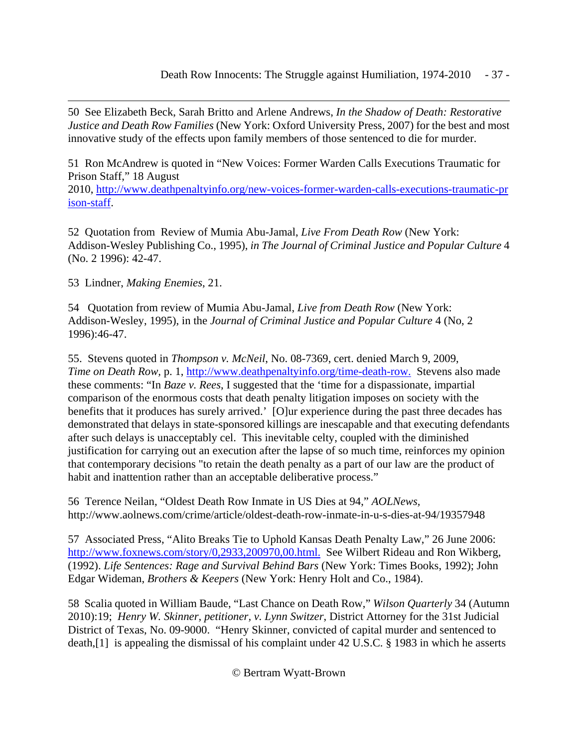50 See Elizabeth Beck, Sarah Britto and Arlene Andrews, *In the Shadow of Death: Restorative Justice and Death Row Families* (New York: Oxford University Press, 2007) for the best and most innovative study of the effects upon family members of those sentenced to die for murder.

51 Ron McAndrew is quoted in "New Voices: Former Warden Calls Executions Traumatic for Prison Staff," 18 August 2010, [http://www.deathpenaltyinfo.org/new-voices-former-warden-calls-executions-traumatic-pr](http://www.deathpenaltyinfo.org/new-voices-former-warden-calls-executions-traumatic-prison-staff) [ison-st](http://www.deathpenaltyinfo.org/new-voices-former-warden-calls-executions-traumatic-prison-staff)aff.

52 Quotation from Review of Mumia Abu-Jamal, *Live From Death Row* (New York: Addison-Wesley Publishing Co., 1995), *in The Journal of Criminal Justice and Popular Culture* 4 (No. 2 1996): 42-47.

53 Lindner, *Making Enemies*, 21.

<span id="page-36-0"></span> $\overline{a}$ 

54 Quotation from review of Mumia Abu-Jamal, *Live from Death Row* (New York: Addison-Wesley, 1995), in the *Journal of Criminal Justice and Popular Culture* 4 (No, 2 1996):46-47.

55. Stevens quoted in *Thompson v. McNeil*, No. 08-7369, cert. denied March 9, 2009, *Time on Death Row, p. 1, http://www.deathpenaltyinfo.org/time-death-row.* Stevens also made these comments: "In *Baze v. Rees*, I suggested that the 'time for a dispassionate, impartial comparison of the enormous costs that death penalty litigation imposes on society with the benefits that it produces has surely arrived.' [O]ur experience during the past three decades has demonstrated that delays in state-sponsored killings are inescapable and that executing defendants after such delays is unacceptably cel. This inevitable celty, coupled with the diminished justification for carrying out an execution after the lapse of so much time, reinforces my opinion that contemporary decisions "to retain the death penalty as a part of our law are the product of habit and inattention rather than an acceptable deliberative process."

56 Terence Neilan, "Oldest Death Row Inmate in US Dies at 94," *AOLNews,* http://www.aolnews.com/crime/article/oldest-death-row-inmate-in-u-s-dies-at-94/19357948

57 Associated Press, "Alito Breaks Tie to Uphold Kansas Death Penalty Law," 26 June 2006: http://www.foxnews.com/story/0,2933,200970,00.html. See Wilbert Rideau and Ron Wikberg, (1992). *Life Sentences: Rage and Survival Behind Bars* (New York: Times Books, 1992); John Edgar Wideman, *Brothers & Keepers* (New York: Henry Holt and Co., 1984).

58 Scalia quoted in William Baude, "Last Chance on Death Row," *Wilson Quarterly* 34 (Autumn 2010):19; *Henry W. Skinner, petitioner, v. Lynn Switzer*, District Attorney for the 31st Judicial District of Texas, No. 09-9000. "Henry Skinner, convicted of capital murder and sentenced to death,[1] is appealing the dismissal of his complaint under 42 U.S.C. § 1983 in which he asserts